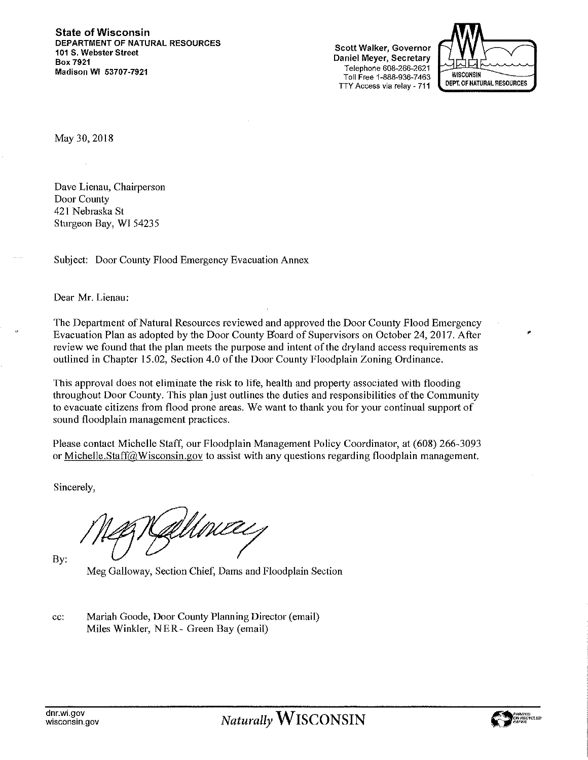**State of Wisconsin** DEPARTMENT OF NATURAL RESOURCES 101 S. Webster Street **Box 7921** Madison WI 53707-7921

Scott Walker, Governor Daniel Meyer, Secretary Telephone 608-266-2621 Toll Free 1-888-936-7463 TTY Access via relay - 711



May 30, 2018

Dave Lienau, Chairperson Door County 421 Nebraska St Sturgeon Bay, WI 54235

Subject: Door County Flood Emergency Evacuation Annex

Dear Mr. Lienau:

The Department of Natural Resources reviewed and approved the Door County Flood Emergency Evacuation Plan as adopted by the Door County Board of Supervisors on October 24, 2017. After review we found that the plan meets the purpose and intent of the dryland access requirements as outlined in Chapter 15.02, Section 4.0 of the Door County Floodplain Zoning Ordinance.

This approval does not eliminate the risk to life, health and property associated with flooding throughout Door County. This plan just outlines the duties and responsibilities of the Community to evacuate citizens from flood prone areas. We want to thank you for your continual support of sound floodplain management practices.

Please contact Michelle Staff, our Floodplain Management Policy Coordinator, at (608) 266-3093 or Michelle. Staff@Wisconsin.gov to assist with any questions regarding floodplain management.

Sincerely,

By:

Meg Galloway, Section Chief, Dams and Floodplain Section

Mariah Goode, Door County Planning Director (email) cc: Miles Winkler, NER- Green Bay (email)

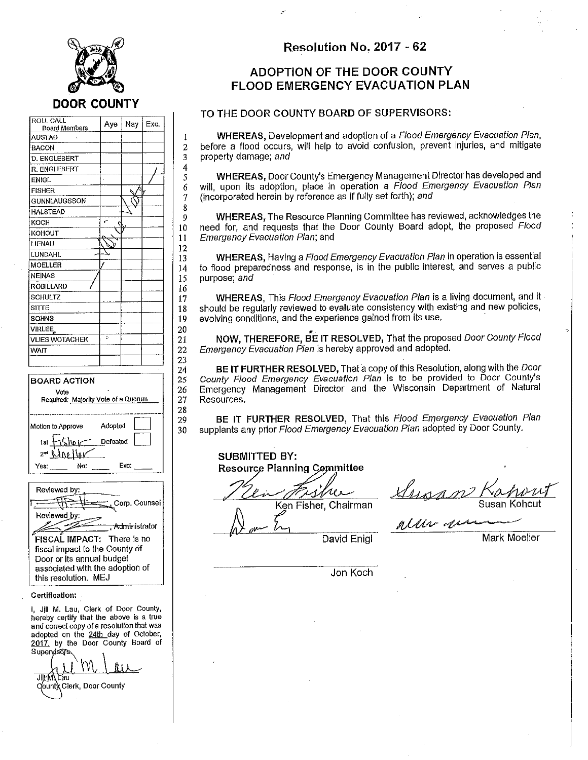

 $\mathbf{1}$ 

 $\overline{2}$ 3

 $\ddot{4}$ 

5

6

7 8

9

10

11 12

13

14

15 16

17

18

19 20

21

22 23

24

25

26

 $27$ 

28

29

30

| roll Call<br><b>Board Members</b> | Aye | Nay | Exc. |
|-----------------------------------|-----|-----|------|
| <b>AUSTAD</b>                     |     |     |      |
| BACON                             |     |     |      |
| D. ENGLEBERT                      |     |     |      |
| R. ENGLEBERT                      |     |     |      |
| <b>ENIGL</b>                      |     |     |      |
| <b>FISHER</b>                     |     |     |      |
| GUNNLAUGSSON                      |     |     |      |
| <b>HALSTEAD</b>                   |     |     |      |
| KOCH                              | ť   |     |      |
| KOHOUT                            |     |     |      |
| LIENAU                            |     |     |      |
| <b>LUNDAHL</b>                    |     |     |      |
| MOELLER                           |     |     |      |
| <b>NEINAS</b>                     |     |     |      |
| ROBILLARD                         |     |     |      |
| SCHULTZ                           |     |     |      |
| SITTE                             |     |     |      |
| SOHNS                             |     |     |      |
| <b>VIRLEE</b>                     |     |     |      |
| <b>VLIES WOTACHEK</b>             | ţ.  |     |      |
| <b>WAIT</b>                       |     |     |      |
|                                   |     |     |      |

#### **BOARD ACTION** Vote Required: Majority Vote of a Quorum Adopted Motion to Approve Defeated 1st  $2^m$ - 100 M Yes: No: Exc:

| Reviewed by:<br>Corp. Counsel                                                        |
|--------------------------------------------------------------------------------------|
| Reviewed by:<br><del>. Admi</del> nistrator                                          |
| FISCAL IMPACT: There is no<br>fiscal impact to the County of                         |
| Door or its annual budget<br>associated with the adoption of<br>this resolution. MEJ |

#### Certification:

I, JIII M. Lau, Clerk of Door County, hereby certify that the above is a true and correct copy of a resolution that was adopted on the 24th day of October, 2017, by the Door County Board of Supervisors

JIKM\Lau Younty Clerk, Door County

#### Resolution No. 2017 - 62

## **ADOPTION OF THE DOOR COUNTY FLOOD EMERGENCY EVACUATION PLAN**

#### TO THE DOOR COUNTY BOARD OF SUPERVISORS:

**WHEREAS, Development and adoption of a Flood Emergency Evacuation Plan,** before a flood occurs, will help to avoid confusion, prevent injuries, and mitigate property damage; and

WHEREAS, Door County's Emergency Management Director has developed and will, upon its adoption, place in operation a Flood Emergency Evacuation Plan (incorporated herein by reference as if fully set forth); and

WHEREAS, The Resource Planning Committee has reviewed, acknowledges the need for, and requests that the Door County Board adopt, the proposed Flood Emergency Evacuation Plan; and

WHEREAS, Having a Flood Emergency Evacuation Plan in operation is essential to flood preparedness and response. is in the public interest, and serves a public purpose; and

WHEREAS, This Flood Emergency Evacuation Plan is a living document, and it should be regularly reviewed to evaluate consistency with existing and new policies, evolving conditions, and the experience gained from its use.

NOW, THEREFORE, BE IT RESOLVED, That the proposed Door County Flood Emergency Evacuation Plan is hereby approved and adopted.

BE IT FURTHER RESOLVED, That a copy of this Resolution, along with the Door County Flood Emergency Evacuation Plan is to be provided to Door County's Emergency Management Director and the Wisconsin Department of Natural Resources.

BE IT FURTHER RESOLVED, That this Flood Emergency Evacuation Plan supplants any prior Flood Emergency Evacuation Plan adopted by Door County.

**SUBMITTED BY: Resource Planning Committee** 

Ken Fisher, Chairman

<u>Augan</u> Susan Kohout

(Ahr given

David Enigl

Mark Moeller

Jon Koch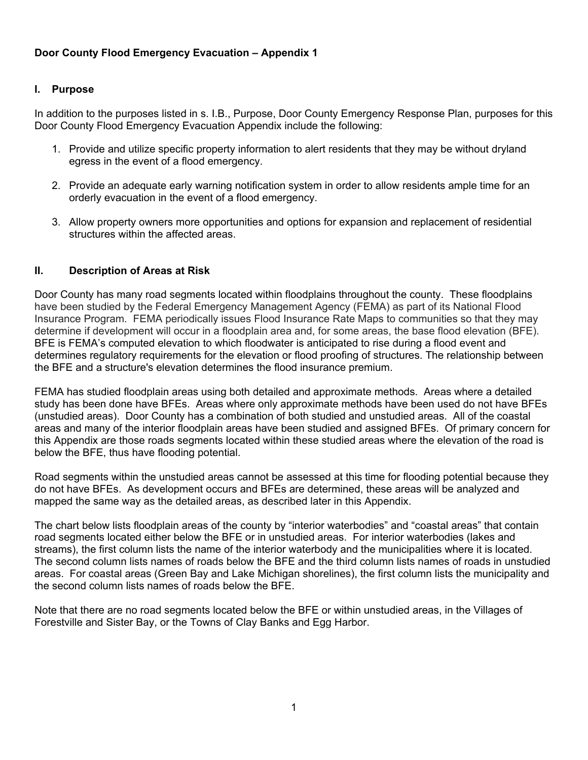# **I. Purpose**

In addition to the purposes listed in s. I.B., Purpose, Door County Emergency Response Plan, purposes for this Door County Flood Emergency Evacuation Appendix include the following:

- 1. Provide and utilize specific property information to alert residents that they may be without dryland egress in the event of a flood emergency.
- 2. Provide an adequate early warning notification system in order to allow residents ample time for an orderly evacuation in the event of a flood emergency.
- 3. Allow property owners more opportunities and options for expansion and replacement of residential structures within the affected areas.

## **II. Description of Areas at Risk**

Door County has many road segments located within floodplains throughout the county. These floodplains have been studied by the Federal Emergency Management Agency (FEMA) as part of its National Flood Insurance Program. FEMA periodically issues Flood Insurance Rate Maps to communities so that they may determine if development will occur in a floodplain area and, for some areas, the base flood elevation (BFE). BFE is FEMA's computed elevation to which floodwater is anticipated to rise during a flood event and determines regulatory requirements for the elevation or flood proofing of structures. The relationship between the BFE and a structure's elevation determines the flood insurance premium.

FEMA has studied floodplain areas using both detailed and approximate methods. Areas where a detailed study has been done have BFEs. Areas where only approximate methods have been used do not have BFEs (unstudied areas). Door County has a combination of both studied and unstudied areas. All of the coastal areas and many of the interior floodplain areas have been studied and assigned BFEs. Of primary concern for this Appendix are those roads segments located within these studied areas where the elevation of the road is below the BFE, thus have flooding potential.

Road segments within the unstudied areas cannot be assessed at this time for flooding potential because they do not have BFEs. As development occurs and BFEs are determined, these areas will be analyzed and mapped the same way as the detailed areas, as described later in this Appendix.

The chart below lists floodplain areas of the county by "interior waterbodies" and "coastal areas" that contain road segments located either below the BFE or in unstudied areas. For interior waterbodies (lakes and streams), the first column lists the name of the interior waterbody and the municipalities where it is located. The second column lists names of roads below the BFE and the third column lists names of roads in unstudied areas. For coastal areas (Green Bay and Lake Michigan shorelines), the first column lists the municipality and the second column lists names of roads below the BFE.

Note that there are no road segments located below the BFE or within unstudied areas, in the Villages of Forestville and Sister Bay, or the Towns of Clay Banks and Egg Harbor.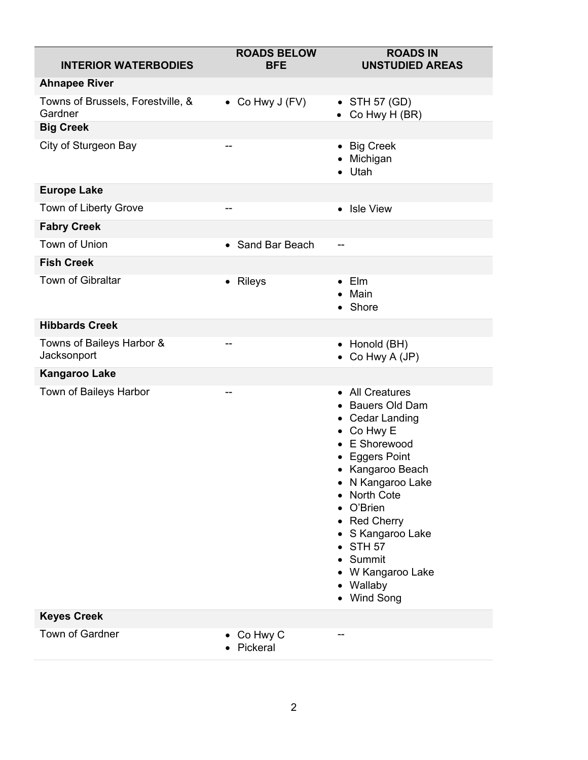| <b>INTERIOR WATERBODIES</b>                  | <b>ROADS BELOW</b><br><b>BFE</b> | <b>ROADS IN</b><br><b>UNSTUDIED AREAS</b>                                                                                                                                                                                                                                                                                           |
|----------------------------------------------|----------------------------------|-------------------------------------------------------------------------------------------------------------------------------------------------------------------------------------------------------------------------------------------------------------------------------------------------------------------------------------|
| <b>Ahnapee River</b>                         |                                  |                                                                                                                                                                                                                                                                                                                                     |
| Towns of Brussels, Forestville, &<br>Gardner | • Co Hwy $J$ (FV)                | $\bullet$ STH 57 (GD)<br>• Co Hwy H $(BR)$                                                                                                                                                                                                                                                                                          |
| <b>Big Creek</b>                             |                                  |                                                                                                                                                                                                                                                                                                                                     |
| City of Sturgeon Bay                         | --                               | • Big Creek<br>• Michigan<br>$\bullet$ Utah                                                                                                                                                                                                                                                                                         |
| <b>Europe Lake</b>                           |                                  |                                                                                                                                                                                                                                                                                                                                     |
| <b>Town of Liberty Grove</b>                 | $-$                              | • Isle View                                                                                                                                                                                                                                                                                                                         |
| <b>Fabry Creek</b>                           |                                  |                                                                                                                                                                                                                                                                                                                                     |
| Town of Union                                | • Sand Bar Beach                 | --                                                                                                                                                                                                                                                                                                                                  |
| <b>Fish Creek</b>                            |                                  |                                                                                                                                                                                                                                                                                                                                     |
| Town of Gibraltar                            | • Rileys                         | $\bullet$ Elm<br>Main<br>• Shore                                                                                                                                                                                                                                                                                                    |
| <b>Hibbards Creek</b>                        |                                  |                                                                                                                                                                                                                                                                                                                                     |
| Towns of Baileys Harbor &<br>Jacksonport     |                                  | • Honold (BH)<br>• Co Hwy A $(JP)$                                                                                                                                                                                                                                                                                                  |
| <b>Kangaroo Lake</b>                         |                                  |                                                                                                                                                                                                                                                                                                                                     |
| Town of Baileys Harbor                       | --                               | • All Creatures<br>• Bauers Old Dam<br>• Cedar Landing<br>• Co Hwy E<br>• E Shorewood<br><b>Eggers Point</b><br>٠<br>• Kangaroo Beach<br>N Kangaroo Lake<br>٠<br><b>North Cote</b><br>O'Brien<br><b>Red Cherry</b><br>$\bullet$<br>• S Kangaroo Lake<br><b>STH 57</b><br>Summit<br>W Kangaroo Lake<br>٠<br>• Wallaby<br>• Wind Song |
| <b>Keyes Creek</b>                           |                                  |                                                                                                                                                                                                                                                                                                                                     |
| <b>Town of Gardner</b>                       | $\bullet$ Co Hwy C<br>• Pickeral |                                                                                                                                                                                                                                                                                                                                     |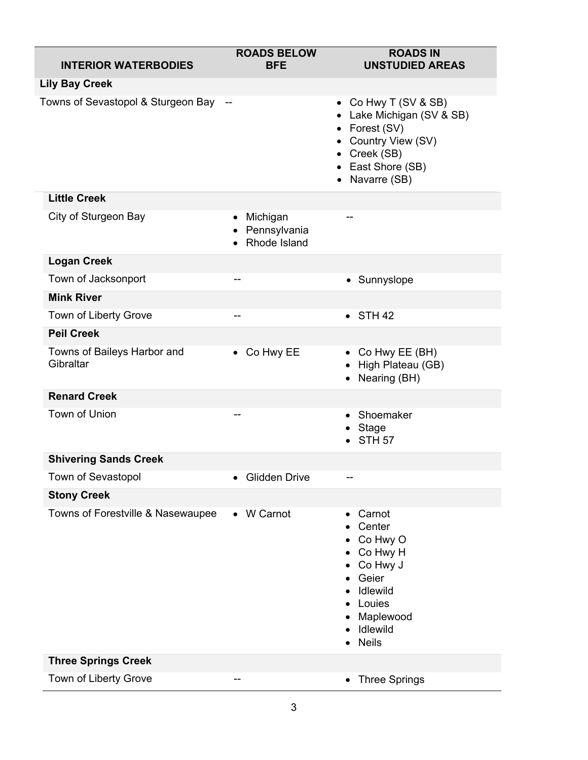| <b>INTERIOR WATERBODIES</b>              | <b>ROADS BELOW</b><br><b>BFE</b>                        | <b>ROADS IN</b><br><b>UNSTUDIED AREAS</b>                                                                                                      |
|------------------------------------------|---------------------------------------------------------|------------------------------------------------------------------------------------------------------------------------------------------------|
| <b>Lily Bay Creek</b>                    |                                                         |                                                                                                                                                |
| Towns of Sevastopol & Sturgeon Bay --    |                                                         | • Co Hwy T (SV & SB)<br>• Lake Michigan (SV & SB)<br>• Forest (SV)<br>Country View (SV)<br>• Creek (SB)<br>• East Shore (SB)<br>• Navarre (SB) |
| <b>Little Creek</b>                      |                                                         |                                                                                                                                                |
| City of Sturgeon Bay                     | Michigan<br>$\bullet$<br>• Pennsylvania<br>Rhode Island |                                                                                                                                                |
| <b>Logan Creek</b>                       |                                                         |                                                                                                                                                |
| Town of Jacksonport                      | --                                                      | • Sunnyslope                                                                                                                                   |
| <b>Mink River</b>                        |                                                         |                                                                                                                                                |
| Town of Liberty Grove                    | --                                                      | $\bullet$ STH 42                                                                                                                               |
| <b>Peil Creek</b>                        |                                                         |                                                                                                                                                |
| Towns of Baileys Harbor and<br>Gibraltar | • Co Hwy EE                                             | • Co Hwy EE (BH)<br>High Plateau (GB)<br>Nearing (BH)                                                                                          |
| <b>Renard Creek</b>                      |                                                         |                                                                                                                                                |
| Town of Union                            |                                                         | Shoemaker<br>Stage<br><b>STH 57</b>                                                                                                            |
| <b>Shivering Sands Creek</b>             |                                                         |                                                                                                                                                |
| Town of Sevastopol                       | <b>Glidden Drive</b>                                    |                                                                                                                                                |
| <b>Stony Creek</b>                       |                                                         |                                                                                                                                                |
| Towns of Forestville & Nasewaupee        | • W Carnot                                              | Carnot<br>Center<br>Co Hwy O<br>Co Hwy H<br>Co Hwy J<br>Geier<br>Idlewild<br>Louies<br>Maplewood<br>Idlewild<br><b>Neils</b>                   |
| <b>Three Springs Creek</b>               |                                                         |                                                                                                                                                |
| Town of Liberty Grove                    |                                                         | • Three Springs                                                                                                                                |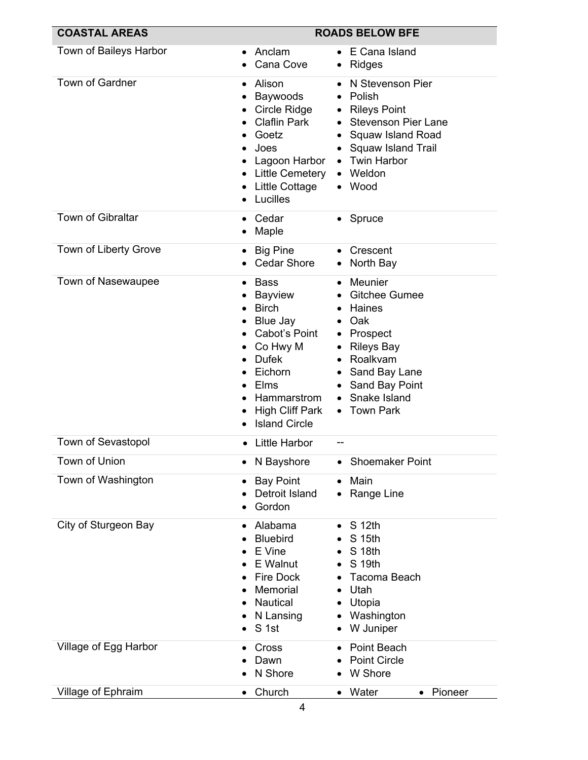| <b>COASTAL AREAS</b>      | <b>ROADS BELOW BFE</b>                                                                                                                                                                                               |                                                                                                                                                                                                                                                |  |  |
|---------------------------|----------------------------------------------------------------------------------------------------------------------------------------------------------------------------------------------------------------------|------------------------------------------------------------------------------------------------------------------------------------------------------------------------------------------------------------------------------------------------|--|--|
| Town of Baileys Harbor    | Anclam<br>Cana Cove                                                                                                                                                                                                  | E Cana Island<br><b>Ridges</b><br>$\bullet$                                                                                                                                                                                                    |  |  |
| <b>Town of Gardner</b>    | Alison<br>$\bullet$<br>Baywoods<br>Circle Ridge<br><b>Claflin Park</b><br>Goetz<br>$\bullet$<br>Joes<br>$\bullet$<br>Lagoon Harbor<br>Little Cemetery<br>Little Cottage<br>Lucilles                                  | N Stevenson Pier<br>Polish<br><b>Rileys Point</b><br>$\bullet$<br><b>Stevenson Pier Lane</b><br>$\bullet$<br>• Squaw Island Road<br><b>Squaw Island Trail</b><br>$\bullet$<br><b>Twin Harbor</b><br>$\bullet$<br>Weldon<br>$\bullet$<br>• Wood |  |  |
| <b>Town of Gibraltar</b>  | Cedar<br>Maple                                                                                                                                                                                                       | Spruce<br>$\bullet$                                                                                                                                                                                                                            |  |  |
| Town of Liberty Grove     | <b>Big Pine</b><br>$\bullet$<br><b>Cedar Shore</b>                                                                                                                                                                   | • Crescent<br>North Bay                                                                                                                                                                                                                        |  |  |
| Town of Nasewaupee        | <b>Bass</b><br>Bayview<br><b>Birch</b><br>$\bullet$<br>Blue Jay<br>Cabot's Point<br>Co Hwy M<br><b>Dufek</b><br>$\bullet$<br>Eichorn<br><b>Elms</b><br>Hammarstrom<br><b>High Cliff Park</b><br><b>Island Circle</b> | Meunier<br>$\bullet$<br><b>Gitchee Gumee</b><br>$\bullet$<br>Haines<br>$\bullet$<br>Oak<br>Prospect<br>٠<br><b>Rileys Bay</b><br>$\bullet$<br>Roalkvam<br>$\bullet$<br>• Sand Bay Lane<br>Sand Bay Point<br>Snake Island<br>• Town Park        |  |  |
| <b>Town of Sevastopol</b> | <b>Little Harbor</b>                                                                                                                                                                                                 | --                                                                                                                                                                                                                                             |  |  |
| <b>Town of Union</b>      | N Bayshore                                                                                                                                                                                                           | <b>Shoemaker Point</b>                                                                                                                                                                                                                         |  |  |
| Town of Washington        | <b>Bay Point</b><br>Detroit Island<br>Gordon                                                                                                                                                                         | Main<br>$\bullet$<br>Range Line                                                                                                                                                                                                                |  |  |
| City of Sturgeon Bay      | Alabama<br><b>Bluebird</b><br>E Vine<br>E Walnut<br>Fire Dock<br>Memorial<br>$\bullet$<br>Nautical<br>N Lansing<br>S 1st                                                                                             | S 12th<br>S 15th<br>S 18th<br>S 19th<br>Tacoma Beach<br>Utah<br>٠<br>Utopia<br>Washington<br>W Juniper                                                                                                                                         |  |  |
| Village of Egg Harbor     | Cross<br>Dawn<br>N Shore                                                                                                                                                                                             | Point Beach<br><b>Point Circle</b><br>W Shore                                                                                                                                                                                                  |  |  |
| Village of Ephraim        | Church<br>$\bullet$                                                                                                                                                                                                  | Water<br>Pioneer<br>$\bullet$<br>$\bullet$                                                                                                                                                                                                     |  |  |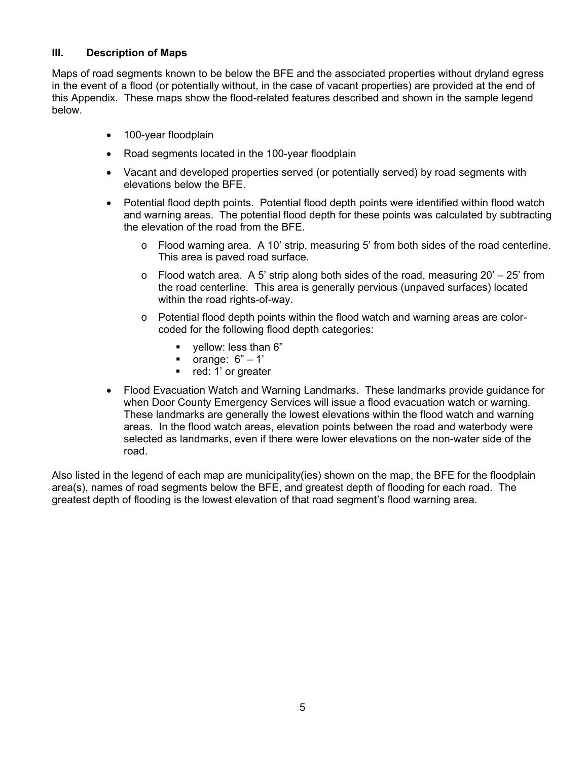#### **Ill. Description of Maps**

Maps of road segments known to be below the BFE and the associated properties without dryland egress in the event of a flood (or potentially without, in the case of vacant properties) are provided at the end of this Appendix. These maps show the flood-related features described and shown in the sample legend below.

- 100-year floodplain
- Road segments located in the 100-year floodplain
- Vacant and developed properties served (or potentially served) by road segments with elevations below the BFE.
- Potential flood depth points. Potential flood depth points were identified within flood watch and warning areas. The potential flood depth for these points was calculated by subtracting the elevation of the road from the BFE.
	- $\circ$  Flood warning area. A 10' strip, measuring 5' from both sides of the road centerline. This area is paved road surface.
	- $\circ$  Flood watch area. A 5' strip along both sides of the road, measuring 20' 25' from the road centerline. This area is generally pervious (unpaved surfaces) located within the road rights-of-way.
	- $\circ$  Potential flood depth points within the flood watch and warning areas are colorcoded for the following flood depth categories:
		- **vellow: less than 6"**
		- orange:  $6" 1'$
		- **Parage:** 1' or greater
- Flood Evacuation Watch and Warning Landmarks. These landmarks provide guidance for when Door County Emergency Services will issue a flood evacuation watch or warning. These landmarks are generally the lowest elevations within the flood watch and warning areas. In the flood watch areas, elevation points between the road and waterbody were selected as landmarks, even if there were lower elevations on the non-water side of the road.

Also listed in the legend of each map are municipality(ies) shown on the map, the BFE for the floodplain area(s), names of road segments below the BFE, and greatest depth of flooding for each road. The greatest depth of flooding is the lowest elevation of that road segment's flood warning area.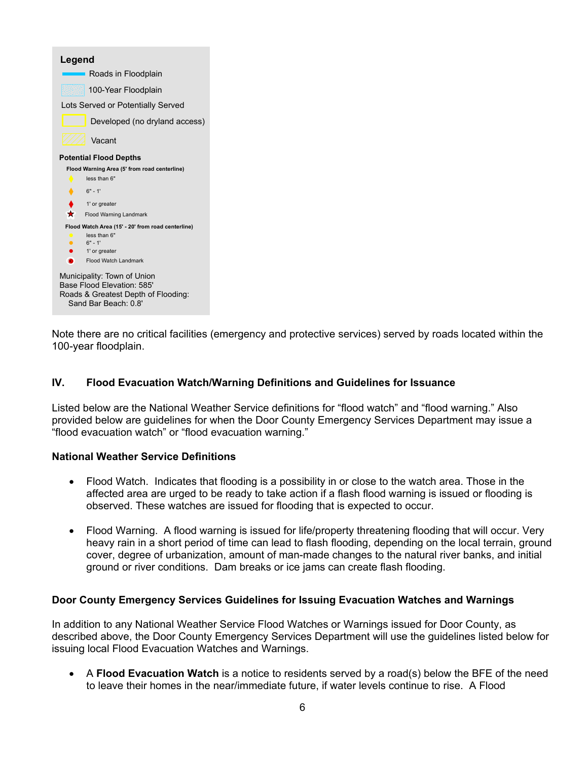| Legend                                                                                                                   |
|--------------------------------------------------------------------------------------------------------------------------|
| Roads in Floodplain                                                                                                      |
| 100-Year Floodplain                                                                                                      |
| Lots Served or Potentially Served                                                                                        |
| Developed (no dryland access)                                                                                            |
| Vacant                                                                                                                   |
| <b>Potential Flood Depths</b>                                                                                            |
| Flood Warning Area (5' from road centerline)                                                                             |
| less than 6"                                                                                                             |
| $6" - 1'$                                                                                                                |
| 1' or greater                                                                                                            |
| $\star$<br><b>Flood Warning Landmark</b>                                                                                 |
| Flood Watch Area (15' - 20' from road centerline)                                                                        |
| less than 6"                                                                                                             |
| $6" - 1'$<br>1' or greater                                                                                               |
| Flood Watch Landmark                                                                                                     |
| Municipality: Town of Union<br>Base Flood Flevation: 585'<br>Roads & Greatest Depth of Flooding:<br>Sand Bar Beach: 0.8' |

Note there are no critical facilities (emergency and protective services) served by roads located within the 100-year floodplain.

## **IV. Flood Evacuation Watch/Warning Definitions and Guidelines for Issuance**

Listed below are the National Weather Service definitions for "flood watch" and "flood warning." Also provided below are guidelines for when the Door County Emergency Services Department may issue a "flood evacuation watch" or "flood evacuation warning."

#### **National Weather Service Definitions**

- Flood Watch. Indicates that flooding is a possibility in or close to the watch area. Those in the affected area are urged to be ready to take action if a flash flood warning is issued or flooding is observed. These watches are issued for flooding that is expected to occur.
- Flood Warning. A flood warning is issued for life/property threatening flooding that will occur. Very heavy rain in a short period of time can lead to flash flooding, depending on the local terrain, ground cover, degree of urbanization, amount of man-made changes to the natural river banks, and initial ground or river conditions. Dam breaks or ice jams can create flash flooding.

#### **Door County Emergency Services Guidelines for Issuing Evacuation Watches and Warnings**

In addition to any National Weather Service Flood Watches or Warnings issued for Door County, as described above, the Door County Emergency Services Department will use the guidelines listed below for issuing local Flood Evacuation Watches and Warnings.

 A **Flood Evacuation Watch** is a notice to residents served by a road(s) below the BFE of the need to leave their homes in the near/immediate future, if water levels continue to rise. A Flood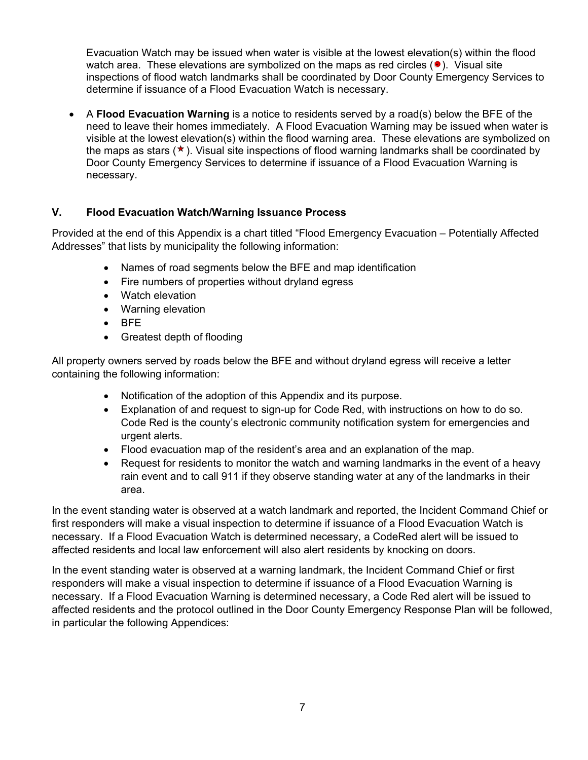Evacuation Watch may be issued when water is visible at the lowest elevation(s) within the flood watch area. These elevations are symbolized on the maps as red circles  $(•)$ . Visual site inspections of flood watch landmarks shall be coordinated by Door County Emergency Services to determine if issuance of a Flood Evacuation Watch is necessary.

 A **Flood Evacuation Warning** is a notice to residents served by a road(s) below the BFE of the need to leave their homes immediately. A Flood Evacuation Warning may be issued when water is visible at the lowest elevation(s) within the flood warning area. These elevations are symbolized on the maps as stars (★). Visual site inspections of flood warning landmarks shall be coordinated by Door County Emergency Services to determine if issuance of a Flood Evacuation Warning is necessary.

## **V. Flood Evacuation Watch/Warning Issuance Process**

Provided at the end of this Appendix is a chart titled "Flood Emergency Evacuation – Potentially Affected Addresses" that lists by municipality the following information:

- Names of road segments below the BFE and map identification
- Fire numbers of properties without dryland egress
- Watch elevation
- Warning elevation
- $\bullet$  BFE
- Greatest depth of flooding

All property owners served by roads below the BFE and without dryland egress will receive a letter containing the following information:

- Notification of the adoption of this Appendix and its purpose.
- Explanation of and request to sign-up for Code Red, with instructions on how to do so. Code Red is the county's electronic community notification system for emergencies and urgent alerts.
- Flood evacuation map of the resident's area and an explanation of the map.
- Request for residents to monitor the watch and warning landmarks in the event of a heavy rain event and to call 911 if they observe standing water at any of the landmarks in their area.

In the event standing water is observed at a watch landmark and reported, the Incident Command Chief or first responders will make a visual inspection to determine if issuance of a Flood Evacuation Watch is necessary. If a Flood Evacuation Watch is determined necessary, a CodeRed alert will be issued to affected residents and local law enforcement will also alert residents by knocking on doors.

In the event standing water is observed at a warning landmark, the Incident Command Chief or first responders will make a visual inspection to determine if issuance of a Flood Evacuation Warning is necessary. If a Flood Evacuation Warning is determined necessary, a Code Red alert will be issued to affected residents and the protocol outlined in the Door County Emergency Response Plan will be followed, in particular the following Appendices: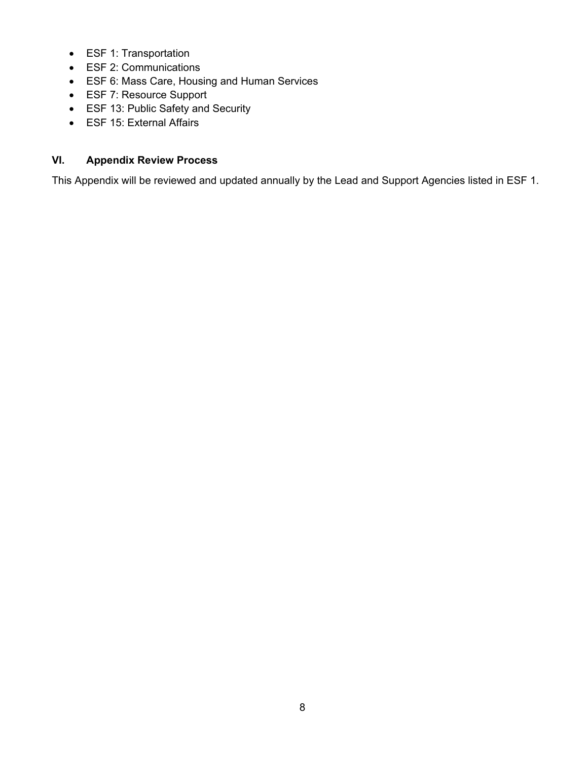- ESF 1: Transportation
- ESF 2: Communications
- ESF 6: Mass Care, Housing and Human Services
- ESF 7: Resource Support
- ESF 13: Public Safety and Security
- ESF 15: External Affairs

# **VI. Appendix Review Process**

This Appendix will be reviewed and updated annually by the Lead and Support Agencies listed in ESF 1.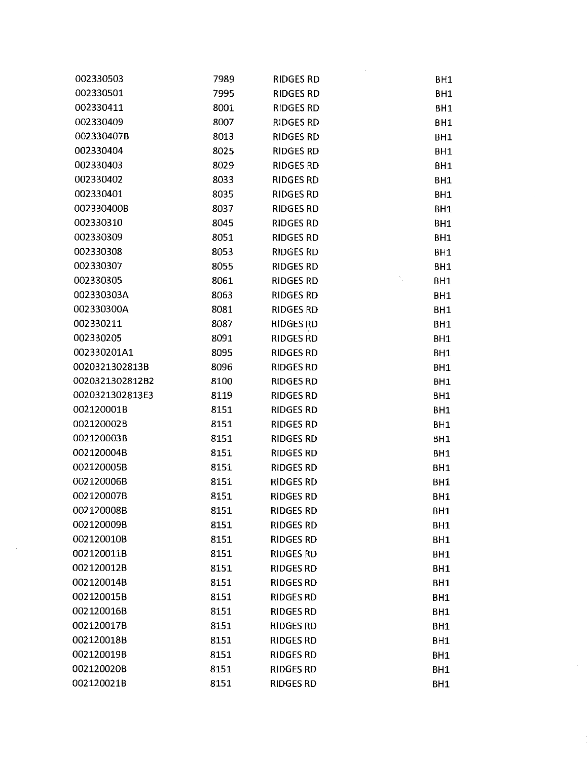| 002330503       | 7989 | RIDGES RD        | BH1             |
|-----------------|------|------------------|-----------------|
| 002330501       | 7995 | <b>RIDGES RD</b> | BH1             |
| 002330411       | 8001 | <b>RIDGES RD</b> | BH1             |
| 002330409       | 8007 | <b>RIDGES RD</b> | <b>BH1</b>      |
| 002330407B      | 8013 | <b>RIDGES RD</b> | BH1             |
| 002330404       | 8025 | <b>RIDGES RD</b> | BH1             |
| 002330403       | 8029 | <b>RIDGES RD</b> | BH1             |
| 002330402       | 8033 | <b>RIDGES RD</b> | BH1             |
| 002330401       | 8035 | <b>RIDGES RD</b> | BH1             |
| 002330400B      | 8037 | <b>RIDGES RD</b> | BH1             |
| 002330310       | 8045 | <b>RIDGES RD</b> | BH1             |
| 002330309       | 8051 | <b>RIDGES RD</b> | BH1             |
| 002330308       | 8053 | <b>RIDGES RD</b> | BH1             |
| 002330307       | 8055 | <b>RIDGES RD</b> | BH1             |
| 002330305       | 8061 | <b>RIDGES RD</b> | BH1             |
| 002330303A      | 8063 | <b>RIDGES RD</b> | BH1             |
| 002330300A      | 8081 | <b>RIDGES RD</b> | BH1             |
| 002330211       | 8087 | <b>RIDGES RD</b> | BH1             |
| 002330205       | 8091 | <b>RIDGES RD</b> | BH1             |
| 002330201A1     | 8095 | <b>RIDGES RD</b> | BH1             |
| 0020321302813B  | 8096 | <b>RIDGES RD</b> | BH <sub>1</sub> |
| 0020321302812B2 | 8100 | <b>RIDGES RD</b> | BH1             |
| 0020321302813E3 | 8119 | <b>RIDGES RD</b> | BH1             |
| 002120001B      | 8151 | <b>RIDGES RD</b> | BH1             |
| 002120002B      | 8151 | <b>RIDGES RD</b> | BH1             |
| 002120003B      | 8151 | <b>RIDGES RD</b> | BH <sub>1</sub> |
| 002120004B      | 8151 | <b>RIDGES RD</b> | BH1             |
| 002120005B      | 8151 | <b>RIDGES RD</b> | BH <sub>1</sub> |
| 002120006B      | 8151 | <b>RIDGES RD</b> | BH <sub>1</sub> |
| 002120007B      | 8151 | <b>RIDGES RD</b> | BH <sub>1</sub> |
| 002120008B      | 8151 | <b>RIDGES RD</b> | BH <sub>1</sub> |
| 002120009B      | 8151 | <b>RIDGES RD</b> | BH1             |
| 002120010B      | 8151 | <b>RIDGES RD</b> | BH <sub>1</sub> |
| 002120011B      | 8151 | <b>RIDGES RD</b> | BH <sub>1</sub> |
| 002120012B      | 8151 | <b>RIDGES RD</b> | BH <sub>1</sub> |
| 002120014B      | 8151 | <b>RIDGES RD</b> | BH <sub>1</sub> |
| 002120015B      | 8151 | <b>RIDGES RD</b> | BH <sub>1</sub> |
| 002120016B      | 8151 | <b>RIDGES RD</b> | BH1             |
| 002120017B      | 8151 | <b>RIDGES RD</b> | BH1             |
| 002120018B      | 8151 | <b>RIDGES RD</b> | BH1             |
| 002120019B      | 8151 | <b>RIDGES RD</b> | BH1             |
| 002120020B      | 8151 | <b>RIDGES RD</b> | BH1             |
| 002120021B      | 8151 | <b>RIDGES RD</b> | BH <sub>1</sub> |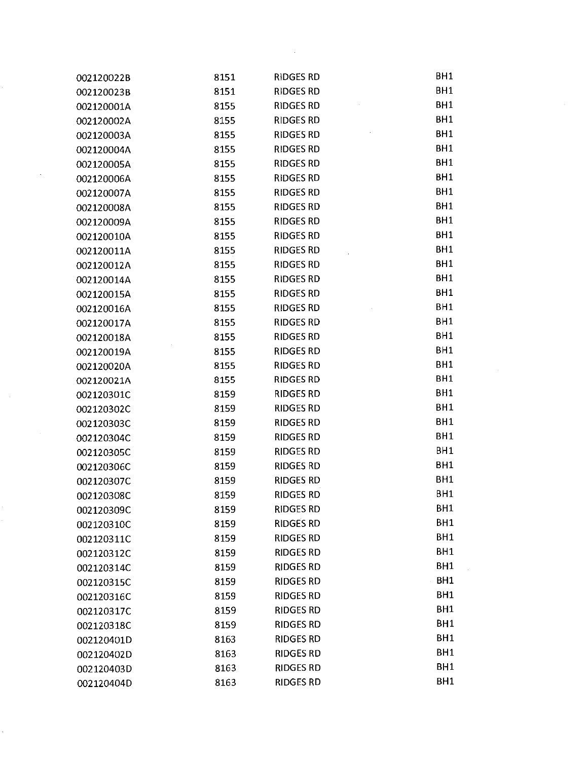| 002120022B | 8151 | <b>RIDGES RD</b> | BH1             |
|------------|------|------------------|-----------------|
| 002120023B | 8151 | RIDGES RD        | BH1             |
| 002120001A | 8155 | <b>RIDGES RD</b> | BH1             |
| 002120002A | 8155 | <b>RIDGES RD</b> | BH1             |
| 002120003A | 8155 | <b>RIDGES RD</b> | BH1             |
| 002120004A | 8155 | <b>RIDGES RD</b> | BH1             |
| 002120005A | 8155 | <b>RIDGES RD</b> | BH1             |
| 002120006A | 8155 | <b>RIDGES RD</b> | BH1             |
| 002120007A | 8155 | <b>RIDGES RD</b> | BH1             |
| 002120008A | 8155 | <b>RIDGES RD</b> | BH <sub>1</sub> |
| 002120009A | 8155 | <b>RIDGES RD</b> | BH1             |
| 002120010A | 8155 | <b>RIDGES RD</b> | BH1             |
| 002120011A | 8155 | <b>RIDGES RD</b> | BH1             |
| 002120012A | 8155 | <b>RIDGES RD</b> | BH1             |
| 002120014A | 8155 | <b>RIDGES RD</b> | BH1             |
| 002120015A | 8155 | <b>RIDGES RD</b> | BH1             |
| 002120016A | 8155 | <b>RIDGES RD</b> | BH1             |
| 002120017A | 8155 | <b>RIDGES RD</b> | BH1             |
| 002120018A | 8155 | <b>RIDGES RD</b> | BH1             |
| 002120019A | 8155 | <b>RIDGES RD</b> | BH1             |
| 002120020A | 8155 | <b>RIDGES RD</b> | BH1             |
| 002120021A | 8155 | <b>RIDGES RD</b> | BH1             |
| 002120301C | 8159 | <b>RIDGES RD</b> | BH1             |
| 002120302C | 8159 | <b>RIDGES RD</b> | BH1             |
| 002120303C | 8159 | <b>RIDGES RD</b> | BH1             |
| 002120304C | 8159 | <b>RIDGES RD</b> | BH1             |
| 002120305C | 8159 | <b>RIDGES RD</b> | BH <sub>1</sub> |
| 002120306C | 8159 | <b>RIDGES RD</b> | BH1             |
| 002120307C | 8159 | <b>RIDGES RD</b> | BH1             |
| 002120308C | 8159 | <b>RIDGES RD</b> | BH <sub>1</sub> |
| 002120309C | 8159 | <b>RIDGES RD</b> | BH1             |
| 002120310C | 8159 | <b>RIDGES RD</b> | BH1             |
| 002120311C | 8159 | <b>RIDGES RD</b> | BH <sub>1</sub> |
| 002120312C | 8159 | <b>RIDGES RD</b> | BH <sub>1</sub> |
| 002120314C | 8159 | <b>RIDGES RD</b> | BH1             |
| 002120315C | 8159 | <b>RIDGES RD</b> | BH1             |
| 002120316C | 8159 | <b>RIDGES RD</b> | BH <sub>1</sub> |
| 002120317C | 8159 | <b>RIDGES RD</b> | BH1             |
| 002120318C | 8159 | <b>RIDGES RD</b> | BH1             |
| 002120401D | 8163 | <b>RIDGES RD</b> | BH <sub>1</sub> |
| 002120402D | 8163 | <b>RIDGES RD</b> | BH <sub>1</sub> |
| 002120403D | 8163 | <b>RIDGES RD</b> | BH1             |
| 002120404D | 8163 | <b>RIDGES RD</b> | BH1             |

 $\label{eq:2.1} \frac{1}{\sqrt{2}}\left(\frac{1}{\sqrt{2}}\right)^{2} \left(\frac{1}{\sqrt{2}}\right)^{2} \left(\frac{1}{\sqrt{2}}\right)^{2} \left(\frac{1}{\sqrt{2}}\right)^{2} \left(\frac{1}{\sqrt{2}}\right)^{2} \left(\frac{1}{\sqrt{2}}\right)^{2} \left(\frac{1}{\sqrt{2}}\right)^{2} \left(\frac{1}{\sqrt{2}}\right)^{2} \left(\frac{1}{\sqrt{2}}\right)^{2} \left(\frac{1}{\sqrt{2}}\right)^{2} \left(\frac{1}{\sqrt{2}}\right)^{2} \left(\$ 

 $\mathcal{L}_{\text{max}}$ 

 $\label{eq:2} \frac{1}{\sqrt{2}}\sum_{i=1}^n\frac{1}{\sqrt{2}}\sum_{i=1}^n\frac{1}{\sqrt{2}}\sum_{i=1}^n\frac{1}{\sqrt{2}}\sum_{i=1}^n\frac{1}{\sqrt{2}}\sum_{i=1}^n\frac{1}{\sqrt{2}}\sum_{i=1}^n\frac{1}{\sqrt{2}}\sum_{i=1}^n\frac{1}{\sqrt{2}}\sum_{i=1}^n\frac{1}{\sqrt{2}}\sum_{i=1}^n\frac{1}{\sqrt{2}}\sum_{i=1}^n\frac{1}{\sqrt{2}}\sum_{i=1}^n\frac{1$ 

k)<br>M

i<br>S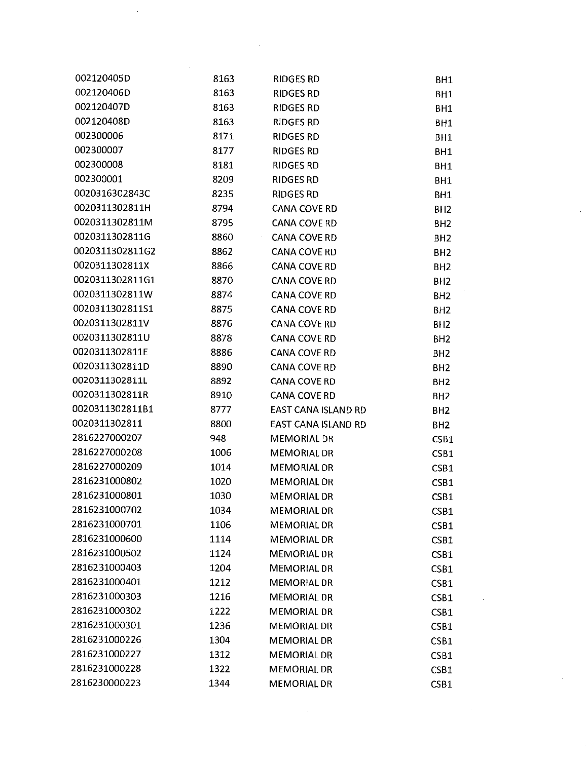| 002120405D      | 8163 | <b>RIDGES RD</b>    | BH1             |
|-----------------|------|---------------------|-----------------|
| 002120406D      | 8163 | RIDGES RD           | BH1             |
| 002120407D      | 8163 | <b>RIDGES RD</b>    | BH1             |
| 002120408D      | 8163 | <b>RIDGES RD</b>    | BH1             |
| 002300006       | 8171 | RIDGES RD           | BH1             |
| 002300007       | 8177 | <b>RIDGES RD</b>    | BH <sub>1</sub> |
| 002300008       | 8181 | <b>RIDGES RD</b>    | BH1             |
| 002300001       | 8209 | <b>RIDGES RD</b>    | BH1             |
| 0020316302843C  | 8235 | <b>RIDGES RD</b>    | BH <sub>1</sub> |
| 0020311302811H  | 8794 | CANA COVE RD        | BH <sub>2</sub> |
| 0020311302811M  | 8795 | CANA COVE RD        | BH <sub>2</sub> |
| 0020311302811G  | 8860 | <b>CANA COVE RD</b> | BH <sub>2</sub> |
| 0020311302811G2 | 8862 | <b>CANA COVE RD</b> | BH <sub>2</sub> |
| 0020311302811X  | 8866 | CANA COVE RD        | BH <sub>2</sub> |
| 0020311302811G1 | 8870 | <b>CANA COVE RD</b> | BH <sub>2</sub> |
| 0020311302811W  | 8874 | <b>CANA COVE RD</b> | BH <sub>2</sub> |
| 0020311302811S1 | 8875 | <b>CANA COVE RD</b> | BH <sub>2</sub> |
| 0020311302811V  | 8876 | <b>CANA COVE RD</b> | BH <sub>2</sub> |
| 0020311302811U  | 8878 | <b>CANA COVE RD</b> | BH <sub>2</sub> |
| 0020311302811E  | 8886 | <b>CANA COVE RD</b> | BH <sub>2</sub> |
| 0020311302811D  | 8890 | <b>CANA COVE RD</b> | BH <sub>2</sub> |
| 0020311302811L  | 8892 | <b>CANA COVE RD</b> | BH <sub>2</sub> |
| 0020311302811R  | 8910 | <b>CANA COVE RD</b> | BH <sub>2</sub> |
| 0020311302811B1 | 8777 | EAST CANA ISLAND RD | BH <sub>2</sub> |
| 0020311302811   | 8800 | EAST CANA ISLAND RD | BH <sub>2</sub> |
| 2816227000207   | 948  | MEMORIAL DR         | CSB1            |
| 2816227000208   | 1006 | <b>MEMORIAL DR</b>  | CSB1            |
| 2816227000209   | 1014 | MEMORIAL DR         | CSB1            |
| 2816231000802   | 1020 | <b>MEMORIAL DR</b>  | CSB1            |
| 2816231000801   | 1030 | <b>MEMORIAL DR</b>  | CSB1            |
| 2816231000702   | 1034 | <b>MEMORIAL DR</b>  | CSB1            |
| 2816231000701   | 1106 | <b>MEMORIAL DR</b>  | CSB1            |
| 2816231000600   | 1114 | <b>MEMORIAL DR</b>  | CSB1            |
| 2816231000502   | 1124 | <b>MEMORIAL DR</b>  | CSB1            |
| 2816231000403   | 1204 | <b>MEMORIAL DR</b>  | CSB1            |
| 2816231000401   | 1212 | <b>MEMORIAL DR</b>  | CSB1            |
| 2816231000303   | 1216 | <b>MEMORIAL DR</b>  | CSB1            |
| 2816231000302   | 1222 | <b>MEMORIAL DR</b>  | CSB1            |
| 2816231000301   | 1236 | <b>MEMORIAL DR</b>  | CSB1            |
| 2816231000226   | 1304 | <b>MEMORIAL DR</b>  | CSB1            |
| 2816231000227   | 1312 | <b>MEMORIAL DR</b>  | CSB1            |
| 2816231000228   | 1322 | MEMORIAL DR         | CSB1            |
| 2816230000223   | 1344 | MEMORIAL DR         | CSB1            |

 $\hat{\mathcal{A}}$ 

 $\mathcal{L}^{\text{max}}_{\text{max}}$ 

 $\label{eq:2.1} \frac{1}{\sqrt{2}}\int_{\mathbb{R}^3}\frac{1}{\sqrt{2}}\left(\frac{1}{\sqrt{2}}\right)^2\frac{1}{\sqrt{2}}\left(\frac{1}{\sqrt{2}}\right)^2\frac{1}{\sqrt{2}}\left(\frac{1}{\sqrt{2}}\right)^2\frac{1}{\sqrt{2}}\left(\frac{1}{\sqrt{2}}\right)^2.$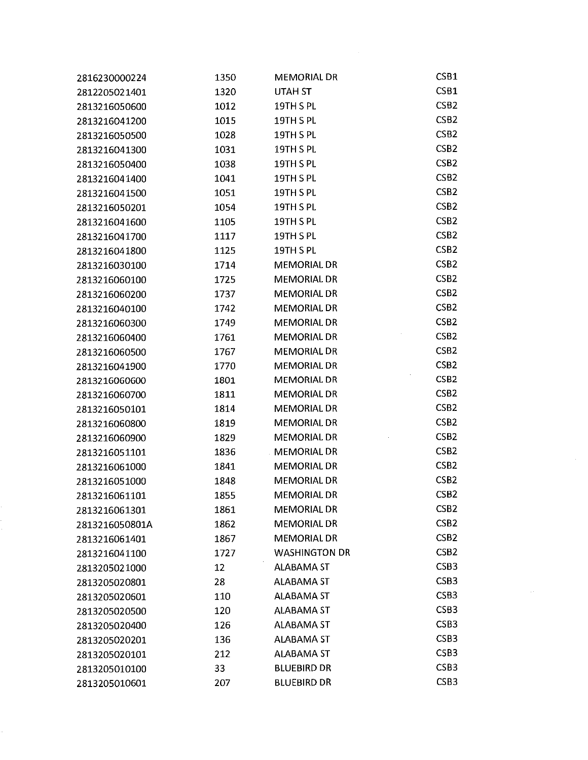| 2816230000224  | 1350 | <b>MEMORIAL DR</b>   | CSB1             |
|----------------|------|----------------------|------------------|
| 2812205021401  | 1320 | UTAH ST              | CSB1             |
| 2813216050600  | 1012 | 19TH S PL            | CSB <sub>2</sub> |
| 2813216041200  | 1015 | 19TH S PL            | CSB <sub>2</sub> |
| 2813216050500  | 1028 | 19TH S PL            | CSB <sub>2</sub> |
| 2813216041300  | 1031 | 19TH S PL            | CSB <sub>2</sub> |
| 2813216050400  | 1038 | 19TH S PL            | CSB <sub>2</sub> |
| 2813216041400  | 1041 | 19TH S PL            | CSB <sub>2</sub> |
| 2813216041500  | 1051 | 19TH S PL            | CSB <sub>2</sub> |
| 2813216050201  | 1054 | 19TH S PL            | CSB <sub>2</sub> |
| 2813216041600  | 1105 | 19TH S PL            | CSB <sub>2</sub> |
| 2813216041700  | 1117 | 19TH S PL            | CSB <sub>2</sub> |
| 2813216041800  | 1125 | 19TH S PL            | CSB <sub>2</sub> |
| 2813216030100  | 1714 | <b>MEMORIAL DR</b>   | CSB <sub>2</sub> |
| 2813216060100  | 1725 | <b>MEMORIAL DR</b>   | CSB <sub>2</sub> |
| 2813216060200  | 1737 | <b>MEMORIAL DR</b>   | CSB <sub>2</sub> |
| 2813216040100  | 1742 | <b>MEMORIAL DR</b>   | CSB <sub>2</sub> |
| 2813216060300  | 1749 | <b>MEMORIAL DR</b>   | CSB <sub>2</sub> |
| 2813216060400  | 1761 | <b>MEMORIAL DR</b>   | CSB <sub>2</sub> |
| 2813216060500  | 1767 | <b>MEMORIAL DR</b>   | CSB <sub>2</sub> |
| 2813216041900  | 1770 | <b>MEMORIAL DR</b>   | CSB <sub>2</sub> |
| 2813216060600  | 1801 | <b>MEMORIAL DR</b>   | CSB <sub>2</sub> |
| 2813216060700  | 1811 | <b>MEMORIAL DR</b>   | CSB <sub>2</sub> |
| 2813216050101  | 1814 | <b>MEMORIAL DR</b>   | CSB <sub>2</sub> |
| 2813216060800  | 1819 | <b>MEMORIAL DR</b>   | CSB <sub>2</sub> |
| 2813216060900  | 1829 | <b>MEMORIAL DR</b>   | CSB <sub>2</sub> |
| 2813216051101  | 1836 | <b>MEMORIAL DR</b>   | CSB <sub>2</sub> |
| 2813216061000  | 1841 | <b>MEMORIAL DR</b>   | CSB <sub>2</sub> |
| 2813216051000  | 1848 | <b>MEMORIAL DR</b>   | CSB <sub>2</sub> |
| 2813216061101  | 1855 | <b>MEMORIAL DR</b>   | CSB <sub>2</sub> |
| 2813216061301  | 1861 | <b>MEMORIAL DR</b>   | CSB <sub>2</sub> |
| 2813216050801A | 1862 | <b>MEMORIAL DR</b>   | CSB <sub>2</sub> |
| 2813216061401  | 1867 | <b>MEMORIAL DR</b>   | CSB <sub>2</sub> |
| 2813216041100  | 1727 | <b>WASHINGTON DR</b> | CSB <sub>2</sub> |
| 2813205021000  | 12   | ALABAMA ST           | CSB <sub>3</sub> |
| 2813205020801  | 28   | <b>ALABAMA ST</b>    | CSB <sub>3</sub> |
| 2813205020601  | 110  | <b>ALABAMA ST</b>    | CSB <sub>3</sub> |
| 2813205020500  | 120  | <b>ALABAMA ST</b>    | CSB3             |
| 2813205020400  | 126  | <b>ALABAMA ST</b>    | CSB <sub>3</sub> |
| 2813205020201  | 136  | <b>ALABAMA ST</b>    | CSB <sub>3</sub> |
| 2813205020101  | 212  | <b>ALABAMA ST</b>    | CSB <sub>3</sub> |
| 2813205010100  | 33   | <b>BLUEBIRD DR</b>   | CSB <sub>3</sub> |
| 2813205010601  | 207  | <b>BLUEBIRD DR</b>   | CSB <sub>3</sub> |

 $\epsilon$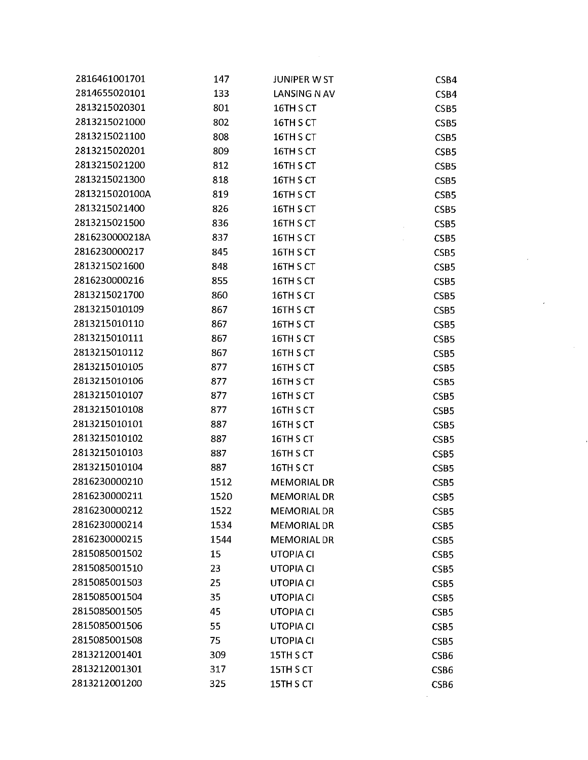| 2816461001701  | 147  | <b>JUNIPER W ST</b> | CSB4             |
|----------------|------|---------------------|------------------|
| 2814655020101  | 133  | LANSING N AV        | CSB4             |
| 2813215020301  | 801  | 16TH S CT           | CSB <sub>5</sub> |
| 2813215021000  | 802  | 16TH S CT           | CSB <sub>5</sub> |
| 2813215021100  | 808  | 16TH S CT           | CSB <sub>5</sub> |
| 2813215020201  | 809  | 16TH S CT           | CSB <sub>5</sub> |
| 2813215021200  | 812  | 16TH S CT           | CSB <sub>5</sub> |
| 2813215021300  | 818  | 16TH S CT           | CSB <sub>5</sub> |
| 2813215020100A | 819  | 16TH S CT           | CSB5             |
| 2813215021400  | 826  | 16TH S CT           | CSB <sub>5</sub> |
| 2813215021500  | 836  | 16TH S CT           | CSB <sub>5</sub> |
| 2816230000218A | 837  | 16TH S CT           | CSB <sub>5</sub> |
| 2816230000217  | 845  | 16TH S CT           | CSB <sub>5</sub> |
| 2813215021600  | 848  | 16TH S CT           | CSB <sub>5</sub> |
| 2816230000216  | 855  | 16TH S CT           | CSB <sub>5</sub> |
| 2813215021700  | 860  | 16TH S CT           | CSB <sub>5</sub> |
| 2813215010109  | 867  | 16TH S CT           | CSB <sub>5</sub> |
| 2813215010110  | 867  | 16TH S CT           | CSB5             |
| 2813215010111  | 867  | 16TH S CT           | CSB <sub>5</sub> |
| 2813215010112  | 867  | 16TH S CT           | CSB <sub>5</sub> |
| 2813215010105  | 877  | 16TH S CT           | CSB <sub>5</sub> |
| 2813215010106  | 877  | 16TH S CT           | CSB <sub>5</sub> |
| 2813215010107  | 877  | 16TH S CT           | CSB <sub>5</sub> |
| 2813215010108  | 877  | 16TH S CT           | CSB <sub>5</sub> |
| 2813215010101  | 887  | 16TH S CT           | CSB <sub>5</sub> |
| 2813215010102  | 887  | 16TH S CT           | CSB <sub>5</sub> |
| 2813215010103  | 887  | 16TH S CT           | CSB <sub>5</sub> |
| 2813215010104  | 887  | 16TH S CT           | CSB <sub>5</sub> |
| 2816230000210  | 1512 | MEMORIAL DR         | CSB <sub>5</sub> |
| 2816230000211  | 1520 | MEMORIAL DR         | CSB <sub>5</sub> |
| 2816230000212  | 1522 | <b>MEMORIAL DR</b>  | CSB <sub>5</sub> |
| 2816230000214  | 1534 | <b>MEMORIAL DR</b>  | CSB <sub>5</sub> |
| 2816230000215  | 1544 | <b>MEMORIAL DR</b>  | CSB <sub>5</sub> |
| 2815085001502  | 15   | <b>UTOPIA CI</b>    | CSB <sub>5</sub> |
| 2815085001510  | 23   | <b>UTOPIA CI</b>    | CSB <sub>5</sub> |
| 2815085001503  | 25   | <b>UTOPIA CI</b>    | CSB <sub>5</sub> |
| 2815085001504  | 35   | <b>UTOPIA CI</b>    | CSB <sub>5</sub> |
| 2815085001505  | 45   | <b>UTOPIA CI</b>    | CSB <sub>5</sub> |
| 2815085001506  | 55   | <b>UTOPIA CI</b>    | CSB <sub>5</sub> |
| 2815085001508  | 75   | <b>UTOPIA CI</b>    | CSB <sub>5</sub> |
| 2813212001401  | 309  | 15TH S CT           | CSB6             |
| 2813212001301  | 317  | 15TH S CT           | CSB6             |
| 2813212001200  | 325  | 15TH S CT           | CSB6             |
|                |      |                     |                  |

 $\label{eq:2.1} \frac{1}{\sqrt{2}}\int_{0}^{\infty}\frac{1}{\sqrt{2\pi}}\left(\frac{1}{\sqrt{2\pi}}\int_{0}^{\infty}\frac{1}{\sqrt{2\pi}}\left(\frac{1}{\sqrt{2\pi}}\int_{0}^{\infty}\frac{1}{\sqrt{2\pi}}\right)\frac{1}{\sqrt{2\pi}}\right)\frac{d\theta}{\sqrt{2\pi}}\,d\theta.$ 

 $\mathcal{L}^{\text{max}}_{\text{max}}$  and  $\mathcal{L}^{\text{max}}_{\text{max}}$ 

 $\label{eq:2} \frac{1}{\sqrt{2}}\left(\frac{1}{\sqrt{2}}\right)^2\left(\frac{1}{\sqrt{2}}\right)^2\left(\frac{1}{\sqrt{2}}\right)^2.$ 

 $\overline{\phantom{a}}$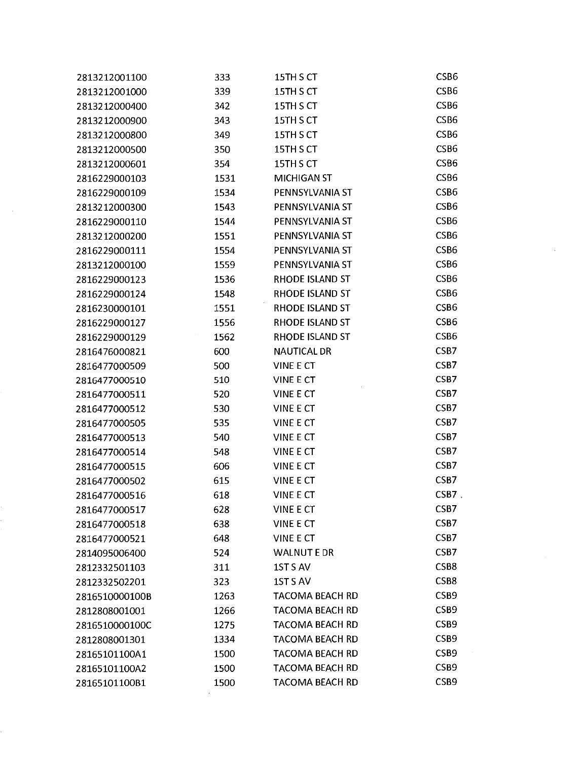| 2813212001100  | 333  | 15TH S CT              | CSB6             |
|----------------|------|------------------------|------------------|
| 2813212001000  | 339  | 15TH S CT              | CSB6             |
| 2813212000400  | 342  | 15TH S CT              | CSB <sub>6</sub> |
| 2813212000900  | 343  | 15TH S CT              | CSB6             |
| 2813212000800  | 349  | 15TH S CT              | CSB6             |
| 2813212000500  | 350  | 15TH S CT              | CSB6             |
| 2813212000601  | 354  | 15TH S CT              | CSB6             |
| 2816229000103  | 1531 | <b>MICHIGAN ST</b>     | CSB6             |
| 2816229000109  | 1534 | PENNSYLVANIA ST        | CSB <sub>6</sub> |
| 2813212000300  | 1543 | PENNSYLVANIA ST        | CSB6             |
| 2816229000110  | 1544 | PENNSYLVANIA ST        | CSB6             |
| 2813212000200  | 1551 | PENNSYLVANIA ST        | CSB6             |
| 2816229000111  | 1554 | PENNSYLVANIA ST        | CSB <sub>6</sub> |
| 2813212000100  | 1559 | PENNSYLVANIA ST        | CSB6             |
| 2816229000123  | 1536 | RHODE ISLAND ST        | CSB6             |
| 2816229000124  | 1548 | RHODE ISLAND ST        | CSB6             |
| 2816230000101  | 1551 | <b>RHODE ISLAND ST</b> | CSB6             |
| 2816229000127  | 1556 | RHODE ISLAND ST        | CSB <sub>6</sub> |
| 2816229000129  | 1562 | RHODE ISLAND ST        | CSB6             |
| 2816476000821  | 600  | <b>NAUTICAL DR</b>     | CSB7             |
| 2816477000509  | 500  | VINE E CT              | CSB7             |
| 2816477000510  | 510  | VINE E CT              | CSB7             |
| 2816477000511  | 520  | <b>VINE E CT</b>       | CSB7             |
| 2816477000512  | 530  | <b>VINE E CT</b>       | CSB7             |
| 2816477000505  | 535  | VINE E CT              | CSB7             |
| 2816477000513  | 540  | VINE E CT              | CSB7             |
| 2816477000514  | 548  | VINE E CT              | CSB7             |
| 2816477000515  | 606  | VINE E CT              | CSB7             |
| 2816477000502  | 615  | VINE E CT              | CSB7             |
| 2816477000516  | 618  | VINE E CT              | $CSB7$ .         |
| 2816477000517  | 628  | VINE E CT              | CSB7             |
| 2816477000518  | 638  | <b>VINE E CT</b>       | CSB7             |
| 2816477000521  | 648  | <b>VINE E CT</b>       | CSB7             |
| 2814095006400  | 524  | <b>WALNUT E DR</b>     | CSB7             |
| 2812332501103  | 311  | 1ST S AV               | CSB8             |
| 2812332502201  | 323  | 1STS AV                | CSB8             |
| 2816510000100B | 1263 | <b>TACOMA BEACH RD</b> | CSB <sub>9</sub> |
| 2812808001001  | 1266 | <b>TACOMA BEACH RD</b> | CSB9             |
| 2816510000100C | 1275 | <b>TACOMA BEACH RD</b> | CSB9             |
| 2812808001301  | 1334 | <b>TACOMA BEACH RD</b> | CSB <sub>9</sub> |
| 28165101100A1  | 1500 | <b>TACOMA BEACH RD</b> | CSB9             |
| 28165101100A2  | 1500 | <b>TACOMA BEACH RD</b> | CSB9             |
| 28165101100B1  | 1500 | <b>TACOMA BEACH RD</b> | CSB <sub>9</sub> |
|                |      |                        |                  |

 $\label{eq:2.1} \frac{1}{\sqrt{2}}\left(\frac{1}{\sqrt{2}}\right)^{2} \left(\frac{1}{\sqrt{2}}\right)^{2} \left(\frac{1}{\sqrt{2}}\right)^{2} \left(\frac{1}{\sqrt{2}}\right)^{2} \left(\frac{1}{\sqrt{2}}\right)^{2} \left(\frac{1}{\sqrt{2}}\right)^{2} \left(\frac{1}{\sqrt{2}}\right)^{2} \left(\frac{1}{\sqrt{2}}\right)^{2} \left(\frac{1}{\sqrt{2}}\right)^{2} \left(\frac{1}{\sqrt{2}}\right)^{2} \left(\frac{1}{\sqrt{2}}\right)^{2} \left(\$ 

 $\label{eq:2.1} \frac{1}{\sqrt{2}}\int_{0}^{\infty} \frac{1}{\sqrt{2\pi}}\left(\frac{1}{\sqrt{2\pi}}\right)^{2} \frac{1}{\sqrt{2\pi}}\int_{0}^{\infty} \frac{1}{\sqrt{2\pi}}\left(\frac{1}{\sqrt{2\pi}}\right)^{2} \frac{1}{\sqrt{2\pi}}\int_{0}^{\infty} \frac{1}{\sqrt{2\pi}}\frac{1}{\sqrt{2\pi}}\frac{1}{\sqrt{2\pi}}\frac{1}{\sqrt{2\pi}}\frac{1}{\sqrt{2\pi}}\frac{1}{\sqrt{2\pi}}\frac{1}{\sqrt{2\pi$ 

 $\mathcal{A}^{\text{out}}$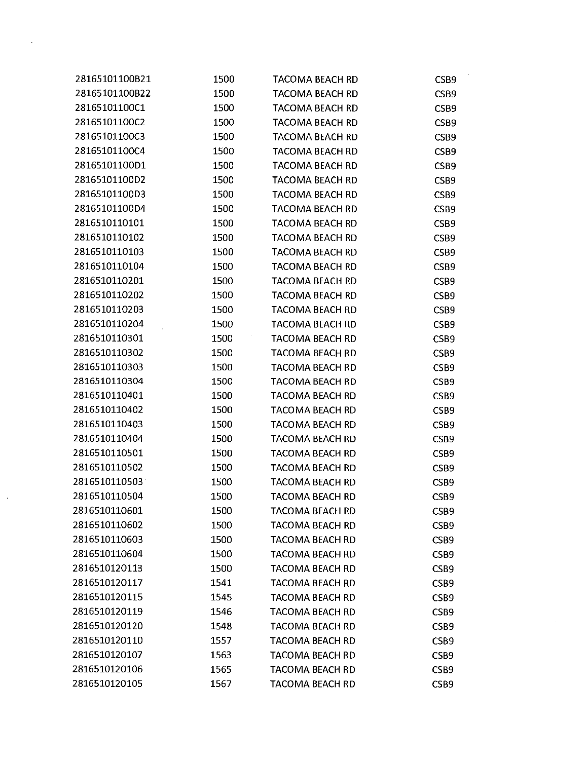| 28165101100B21 | 1500 | TACOMA BEACH RD        | CSB9             |
|----------------|------|------------------------|------------------|
| 28165101100B22 | 1500 | <b>TACOMA BEACH RD</b> | CSB9             |
| 28165101100C1  | 1500 | <b>TACOMA BEACH RD</b> | CSB9             |
| 28165101100C2  | 1500 | <b>TACOMA BEACH RD</b> | CSB9             |
| 28165101100C3  | 1500 | <b>TACOMA BEACH RD</b> | CSB9             |
| 28165101100C4  | 1500 | <b>TACOMA BEACH RD</b> | CSB9             |
| 28165101100D1  | 1500 | <b>TACOMA BEACH RD</b> | CSB9             |
| 28165101100D2  | 1500 | <b>TACOMA BEACH RD</b> | CSB9             |
| 28165101100D3  | 1500 | <b>TACOMA BEACH RD</b> | CSB9             |
| 28165101100D4  | 1500 | TACOMA BEACH RD        | CSB9             |
| 2816510110101  | 1500 | TACOMA BEACH RD        | CSB9             |
| 2816510110102  | 1500 | <b>TACOMA BEACH RD</b> | CSB9             |
| 2816510110103  | 1500 | <b>TACOMA BEACH RD</b> | CSB9             |
| 2816510110104  | 1500 | TACOMA BEACH RD        | CSB9             |
| 2816510110201  | 1500 | <b>TACOMA BEACH RD</b> | CSB9             |
| 2816510110202  | 1500 | <b>TACOMA BEACH RD</b> | CSB9             |
| 2816510110203  | 1500 | <b>TACOMA BEACH RD</b> | CSB9             |
| 2816510110204  | 1500 | <b>TACOMA BEACH RD</b> | CSB9             |
| 2816510110301  | 1500 | <b>TACOMA BEACH RD</b> | CSB <sub>9</sub> |
| 2816510110302  | 1500 | TACOMA BEACH RD        | CSB9             |
| 2816510110303  | 1500 | <b>TACOMA BEACH RD</b> | CSB9             |
| 2816510110304  | 1500 | <b>TACOMA BEACH RD</b> | CSB <sub>9</sub> |
| 2816510110401  | 1500 | <b>TACOMA BEACH RD</b> | CSB <sub>9</sub> |
| 2816510110402  | 1500 | <b>TACOMA BEACH RD</b> | CSB9             |
| 2816510110403  | 1500 | <b>TACOMA BEACH RD</b> | CSB <sub>9</sub> |
| 2816510110404  | 1500 | <b>TACOMA BEACH RD</b> | CSB <sub>9</sub> |
| 2816510110501  | 1500 | <b>TACOMA BEACH RD</b> | CSB9             |
| 2816510110502  | 1500 | <b>TACOMA BEACH RD</b> | CSB <sub>9</sub> |
| 2816510110503  | 1500 | <b>TACOMA BEACH RD</b> | CSB <sub>9</sub> |
| 2816510110504  | 1500 | TACOMA BEACH RD        | CSB9             |
| 2816510110601  | 1500 | <b>TACOMA BEACH RD</b> | CSB <sub>9</sub> |
| 2816510110602  | 1500 | TACOMA BEACH RD        | CSB <sub>9</sub> |
| 2816510110603  | 1500 | <b>TACOMA BEACH RD</b> | CSB9             |
| 2816510110604  | 1500 | <b>TACOMA BEACH RD</b> | CSB <sub>9</sub> |
| 2816510120113  | 1500 | <b>TACOMA BEACH RD</b> | CSB9             |
| 2816510120117  | 1541 | TACOMA BEACH RD        | CSB9             |
| 2816510120115  | 1545 | <b>TACOMA BEACH RD</b> | CSB <sub>9</sub> |
| 2816510120119  | 1546 | <b>TACOMA BEACH RD</b> | CSB <sub>9</sub> |
| 2816510120120  | 1548 | <b>TACOMA BEACH RD</b> | CSB9             |
| 2816510120110  | 1557 | <b>TACOMA BEACH RD</b> | CSB <sub>9</sub> |
| 2816510120107  | 1563 | <b>TACOMA BEACH RD</b> | CSB9             |
| 2816510120106  | 1565 | TACOMA BEACH RD        | CSB <sub>9</sub> |
| 2816510120105  | 1567 | <b>TACOMA BEACH RD</b> | CSB9             |

 $\mathcal{F}^{\text{max}}_{\text{max}}$ 

 $\mathcal{A}^{\text{out}}$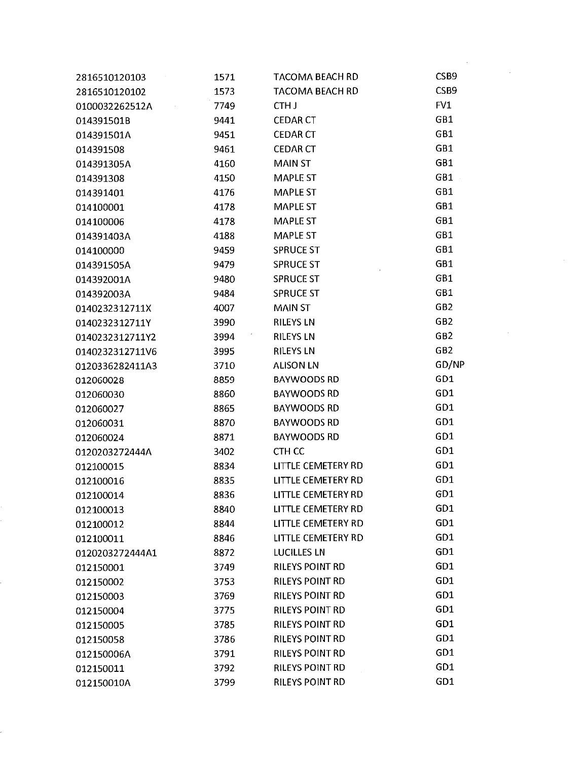| 2816510120103   | 1571 | <b>TACOMA BEACH RD</b>    | CSB <sub>9</sub> |
|-----------------|------|---------------------------|------------------|
| 2816510120102   | 1573 | <b>TACOMA BEACH RD</b>    | CSB9             |
| 0100032262512A  | 7749 | CTH J                     | FV1              |
| 014391501B      | 9441 | <b>CEDAR CT</b>           | GB1              |
| 014391501A      | 9451 | <b>CEDAR CT</b>           | GB1              |
| 014391508       | 9461 | <b>CEDAR CT</b>           | GB1              |
| 014391305A      | 4160 | <b>MAIN ST</b>            | GB1              |
| 014391308       | 4150 | <b>MAPLE ST</b>           | GB1              |
| 014391401       | 4176 | <b>MAPLE ST</b>           | GB1              |
| 014100001       | 4178 | <b>MAPLE ST</b>           | GB1              |
| 014100006       | 4178 | <b>MAPLE ST</b>           | GB1              |
| 014391403A      | 4188 | <b>MAPLE ST</b>           | GB1              |
| 014100000       | 9459 | <b>SPRUCE ST</b>          | GB1              |
| 014391505A      | 9479 | <b>SPRUCE ST</b>          | GB1              |
| 014392001A      | 9480 | <b>SPRUCE ST</b>          | GB1              |
| 014392003A      | 9484 | <b>SPRUCE ST</b>          | GB1              |
| 0140232312711X  | 4007 | <b>MAIN ST</b>            | GB <sub>2</sub>  |
| 0140232312711Y  | 3990 | <b>RILEYS LN</b>          | GB <sub>2</sub>  |
| 0140232312711Y2 | 3994 | <b>RILEYS LN</b>          | GB <sub>2</sub>  |
| 0140232312711V6 | 3995 | <b>RILEYS LN</b>          | GB <sub>2</sub>  |
| 0120336282411A3 | 3710 | <b>ALISON LN</b>          | GD/NP            |
| 012060028       | 8859 | <b>BAYWOODS RD</b>        | GD1              |
| 012060030       | 8860 | <b>BAYWOODS RD</b>        | GD1              |
| 012060027       | 8865 | <b>BAYWOODS RD</b>        | GD1              |
| 012060031       | 8870 | <b>BAYWOODS RD</b>        | GD1              |
| 012060024       | 8871 | <b>BAYWOODS RD</b>        | GD1              |
| 0120203272444A  | 3402 | CTH CC                    | GD1              |
| 012100015       | 8834 | LITTLE CEMETERY RD        | GD1              |
| 012100016       | 8835 | <b>LITTLE CEMETERY RD</b> | GD1              |
| 012100014       | 8836 | LITTLE CEMETERY RD        | GD1              |
| 012100013       | 8840 | LITTLE CEMETERY RD        | GD1              |
| 012100012       | 8844 | <b>LITTLE CEMETERY RD</b> | GD1              |
| 012100011       | 8846 | <b>LITTLE CEMETERY RD</b> | GD1              |
| 0120203272444A1 | 8872 | <b>LUCILLES LN</b>        | GD1              |
| 012150001       | 3749 | <b>RILEYS POINT RD</b>    | GD1              |
| 012150002       | 3753 | <b>RILEYS POINT RD</b>    | GD1              |
| 012150003       | 3769 | <b>RILEYS POINT RD</b>    | GD1              |
| 012150004       | 3775 | <b>RILEYS POINT RD</b>    | GD1              |
| 012150005       | 3785 | <b>RILEYS POINT RD</b>    | GD1              |
| 012150058       | 3786 | <b>RILEYS POINT RD</b>    | GD1              |
| 012150006A      | 3791 | <b>RILEYS POINT RD</b>    | GD1              |
| 012150011       | 3792 | <b>RILEYS POINT RD</b>    | GD1              |
| 012150010A      | 3799 | <b>RILEYS POINT RD</b>    | GD1              |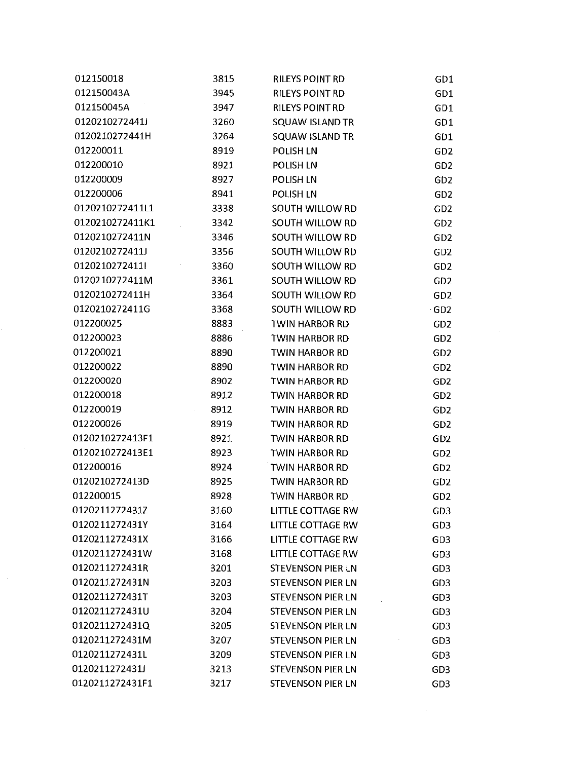| 012150018       | 3815 | RILEYS POINT RD          | GD <sub>1</sub> |  |
|-----------------|------|--------------------------|-----------------|--|
| 012150043A      | 3945 | RILEYS POINT RD          | GD1             |  |
| 012150045A      | 3947 | <b>RILEYS POINT RD</b>   | GD1             |  |
| 0120210272441J  | 3260 | SQUAW ISLAND TR          | GD1             |  |
| 0120210272441H  | 3264 | <b>SQUAW ISLAND TR</b>   | GD1             |  |
| 012200011       | 8919 | POLISH LN                | GD <sub>2</sub> |  |
| 012200010       | 8921 | POLISH LN                | GD <sub>2</sub> |  |
| 012200009       | 8927 | POLISH LN                | GD <sub>2</sub> |  |
| 012200006       | 8941 | POLISH LN                | GD <sub>2</sub> |  |
| 0120210272411L1 | 3338 | SOUTH WILLOW RD          | GD <sub>2</sub> |  |
| 0120210272411K1 | 3342 | SOUTH WILLOW RD          | GD <sub>2</sub> |  |
| 0120210272411N  | 3346 | SOUTH WILLOW RD          | GD <sub>2</sub> |  |
| 0120210272411J  | 3356 | SOUTH WILLOW RD          | GD <sub>2</sub> |  |
| 01202102724111  | 3360 | SOUTH WILLOW RD          | GD <sub>2</sub> |  |
| 0120210272411M  | 3361 | SOUTH WILLOW RD          | GD <sub>2</sub> |  |
| 0120210272411H  | 3364 | SOUTH WILLOW RD          | GD <sub>2</sub> |  |
| 0120210272411G  | 3368 | SOUTH WILLOW RD          | GD <sub>2</sub> |  |
| 012200025       | 8883 | TWIN HARBOR RD           | GD <sub>2</sub> |  |
| 012200023       | 8886 | TWIN HARBOR RD           | GD <sub>2</sub> |  |
| 012200021       | 8890 | <b>TWIN HARBOR RD</b>    | GD <sub>2</sub> |  |
| 012200022       | 8890 | TWIN HARBOR RD           | GD <sub>2</sub> |  |
| 012200020       | 8902 | TWIN HARBOR RD           | GD <sub>2</sub> |  |
| 012200018       | 8912 | TWIN HARBOR RD           | GD <sub>2</sub> |  |
| 012200019       | 8912 | TWIN HARBOR RD           | GD <sub>2</sub> |  |
| 012200026       | 8919 | TWIN HARBOR RD           | GD <sub>2</sub> |  |
| 0120210272413F1 | 8921 | TWIN HARBOR RD           | GD <sub>2</sub> |  |
| 0120210272413E1 | 8923 | <b>TWIN HARBOR RD</b>    | GD <sub>2</sub> |  |
| 012200016       | 8924 | <b>TWIN HARBOR RD</b>    | GD <sub>2</sub> |  |
| 0120210272413D  | 8925 | TWIN HARBOR RD           | GD <sub>2</sub> |  |
| 012200015       | 8928 | TWIN HARBOR RD           | GD <sub>2</sub> |  |
| 0120211272431Z  | 3160 | <b>LITTLE COTTAGE RW</b> | GD <sub>3</sub> |  |
| 0120211272431Y  | 3164 | LITTLE COTTAGE RW        | GD <sub>3</sub> |  |
| 0120211272431X  | 3166 | LITTLE COTTAGE RW        | GD <sub>3</sub> |  |
| 0120211272431W  | 3168 | LITTLE COTTAGE RW        | GD <sub>3</sub> |  |
| 0120211272431R  | 3201 | STEVENSON PIER LN        | GD <sub>3</sub> |  |
| 0120211272431N  | 3203 | <b>STEVENSON PIER LN</b> | GD <sub>3</sub> |  |
| 0120211272431T  | 3203 | <b>STEVENSON PIER LN</b> | GD <sub>3</sub> |  |
| 0120211272431U  | 3204 | <b>STEVENSON PIER LN</b> | GD <sub>3</sub> |  |
| 0120211272431Q  | 3205 | STEVENSON PIER LN        | GD <sub>3</sub> |  |
| 0120211272431M  | 3207 | <b>STEVENSON PIER LN</b> | GD <sub>3</sub> |  |
| 0120211272431L  | 3209 | STEVENSON PIER LN        | GD <sub>3</sub> |  |
| 0120211272431J  | 3213 | <b>STEVENSON PIER LN</b> | GD <sub>3</sub> |  |
| 0120211272431F1 | 3217 | STEVENSON PIER LN        | GD <sub>3</sub> |  |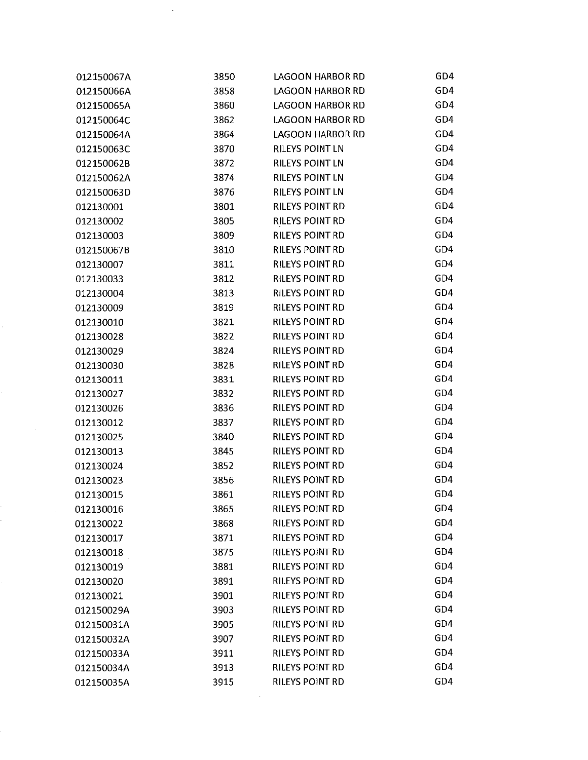| 012150067A | 3850 | <b>LAGOON HARBOR RD</b> | GD4 |
|------------|------|-------------------------|-----|
| 012150066A | 3858 | <b>LAGOON HARBOR RD</b> | GD4 |
| 012150065A | 3860 | <b>LAGOON HARBOR RD</b> | GD4 |
| 012150064C | 3862 | <b>LAGOON HARBOR RD</b> | GD4 |
| 012150064A | 3864 | <b>LAGOON HARBOR RD</b> | GD4 |
| 012150063C | 3870 | <b>RILEYS POINT LN</b>  | GD4 |
| 012150062B | 3872 | <b>RILEYS POINT LN</b>  | GD4 |
| 012150062A | 3874 | <b>RILEYS POINT LN</b>  | GD4 |
| 012150063D | 3876 | RILEYS POINT LN         | GD4 |
| 012130001  | 3801 | <b>RILEYS POINT RD</b>  | GD4 |
| 012130002  | 3805 | RILEYS POINT RD         | GD4 |
| 012130003  | 3809 | <b>RILEYS POINT RD</b>  | GD4 |
| 012150067B | 3810 | <b>RILEYS POINT RD</b>  | GD4 |
| 012130007  | 3811 | <b>RILEYS POINT RD</b>  | GD4 |
| 012130033  | 3812 | <b>RILEYS POINT RD</b>  | GD4 |
| 012130004  | 3813 | <b>RILEYS POINT RD</b>  | GD4 |
| 012130009  | 3819 | <b>RILEYS POINT RD</b>  | GD4 |
| 012130010  | 3821 | <b>RILEYS POINT RD</b>  | GD4 |
| 012130028  | 3822 | <b>RILEYS POINT RD</b>  | GD4 |
| 012130029  | 3824 | <b>RILEYS POINT RD</b>  | GD4 |
| 012130030  | 3828 | <b>RILEYS POINT RD</b>  | GD4 |
| 012130011  | 3831 | <b>RILEYS POINT RD</b>  | GD4 |
| 012130027  | 3832 | <b>RILEYS POINT RD</b>  | GD4 |
| 012130026  | 3836 | <b>RILEYS POINT RD</b>  | GD4 |
| 012130012  | 3837 | <b>RILEYS POINT RD</b>  | GD4 |
| 012130025  | 3840 | <b>RILEYS POINT RD</b>  | GD4 |
| 012130013  | 3845 | <b>RILEYS POINT RD</b>  | GD4 |
| 012130024  | 3852 | <b>RILEYS POINT RD</b>  | GD4 |
| 012130023  | 3856 | <b>RILEYS POINT RD</b>  | GD4 |
| 012130015  | 3861 | <b>RILEYS POINT RD</b>  | GD4 |
| 012130016  | 3865 | <b>RILEYS POINT RD</b>  | GD4 |
| 012130022  | 3868 | <b>RILEYS POINT RD</b>  | GD4 |
| 012130017  | 3871 | <b>RILEYS POINT RD</b>  | GD4 |
| 012130018  | 3875 | <b>RILEYS POINT RD</b>  | GD4 |
| 012130019  | 3881 | <b>RILEYS POINT RD</b>  | GD4 |
| 012130020  | 3891 | <b>RILEYS POINT RD</b>  | GD4 |
| 012130021  | 3901 | <b>RILEYS POINT RD</b>  | GD4 |
| 012150029A | 3903 | <b>RILEYS POINT RD</b>  | GD4 |
| 012150031A | 3905 | <b>RILEYS POINT RD</b>  | GD4 |
| 012150032A | 3907 | <b>RILEYS POINT RD</b>  | GD4 |
| 012150033A | 3911 | <b>RILEYS POINT RD</b>  | GD4 |
| 012150034A | 3913 | <b>RILEYS POINT RD</b>  | GD4 |
| 012150035A | 3915 | <b>RILEYS POINT RD</b>  | GD4 |
|            |      |                         |     |

 $\frac{1}{2} \sum_{i=1}^{n} \frac{1}{2} \sum_{j=1}^{n} \frac{1}{2} \sum_{j=1}^{n} \frac{1}{2} \sum_{j=1}^{n} \frac{1}{2} \sum_{j=1}^{n} \frac{1}{2} \sum_{j=1}^{n} \frac{1}{2} \sum_{j=1}^{n} \frac{1}{2} \sum_{j=1}^{n} \frac{1}{2} \sum_{j=1}^{n} \frac{1}{2} \sum_{j=1}^{n} \frac{1}{2} \sum_{j=1}^{n} \frac{1}{2} \sum_{j=1}^{n} \frac{1}{2} \sum_{j=1}^{n$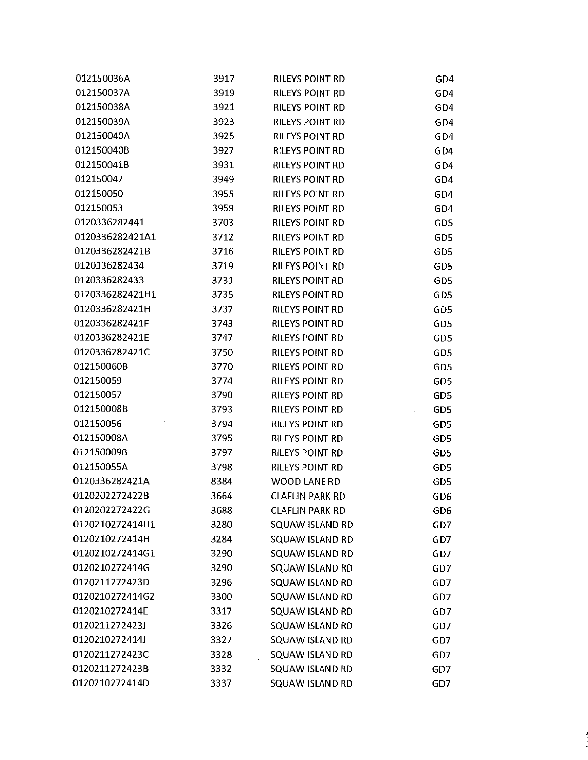| 012150036A      | 3917 | <b>RILEYS POINT RD</b> | GD4             |
|-----------------|------|------------------------|-----------------|
| 012150037A      | 3919 | RILEYS POINT RD        | GD4             |
| 012150038A      | 3921 | RILEYS POINT RD        | GD4             |
| 012150039A      | 3923 | RILEYS POINT RD        | GD4             |
| 012150040A      | 3925 | <b>RILEYS POINT RD</b> | GD4             |
| 012150040B      | 3927 | <b>RILEYS POINT RD</b> | GD4             |
| 012150041B      | 3931 | <b>RILEYS POINT RD</b> | GD4             |
| 012150047       | 3949 | <b>RILEYS POINT RD</b> | GD4             |
| 012150050       | 3955 | <b>RILEYS POINT RD</b> | GD4             |
| 012150053       | 3959 | <b>RILEYS POINT RD</b> | GD4             |
| 0120336282441   | 3703 | <b>RILEYS POINT RD</b> | GD5             |
| 0120336282421A1 | 3712 | <b>RILEYS POINT RD</b> | GD5             |
| 0120336282421B  | 3716 | <b>RILEYS POINT RD</b> | GD5             |
| 0120336282434   | 3719 | <b>RILEYS POINT RD</b> | GD5             |
| 0120336282433   | 3731 | <b>RILEYS POINT RD</b> | GD5             |
| 0120336282421H1 | 3735 | <b>RILEYS POINT RD</b> | GD5             |
| 0120336282421H  | 3737 | <b>RILEYS POINT RD</b> | GD5             |
| 0120336282421F  | 3743 | RILEYS POINT RD        | GD5             |
| 0120336282421E  | 3747 | <b>RILEYS POINT RD</b> | GD5             |
| 0120336282421C  | 3750 | <b>RILEYS POINT RD</b> | GD5             |
| 012150060B      | 3770 | <b>RILEYS POINT RD</b> | GD5             |
| 012150059       | 3774 | <b>RILEYS POINT RD</b> | GD5             |
| 012150057       | 3790 | <b>RILEYS POINT RD</b> | GD5             |
| 012150008B      | 3793 | <b>RILEYS POINT RD</b> | GD <sub>5</sub> |
| 012150056       | 3794 | <b>RILEYS POINT RD</b> | GD5             |
| 012150008A      | 3795 | <b>RILEYS POINT RD</b> | GD <sub>5</sub> |
| 012150009B      | 3797 | <b>RILEYS POINT RD</b> | GD <sub>5</sub> |
| 012150055A      | 3798 | RILEYS POINT RD        | GD <sub>5</sub> |
| 0120336282421A  | 8384 | <b>WOOD LANE RD</b>    | GD <sub>5</sub> |
| 0120202272422B  | 3664 | <b>CLAFLIN PARK RD</b> | GD <sub>6</sub> |
| 0120202272422G  | 3688 | <b>CLAFLIN PARK RD</b> | GD <sub>6</sub> |
| 0120210272414H1 | 3280 | SQUAW ISLAND RD        | GD7             |
| 0120210272414H  | 3284 | SQUAW ISLAND RD        | GD7             |
| 0120210272414G1 | 3290 | <b>SQUAW ISLAND RD</b> | GD7             |
| 0120210272414G  | 3290 | SQUAW ISLAND RD        | GD7             |
| 0120211272423D  | 3296 | SQUAW ISLAND RD        | GD7             |
| 0120210272414G2 | 3300 | SQUAW ISLAND RD        | GD7             |
| 0120210272414E  | 3317 | SQUAW ISLAND RD        | GD7             |
| 0120211272423J  | 3326 | SQUAW ISLAND RD        | GD7             |
| 0120210272414J  | 3327 | <b>SQUAW ISLAND RD</b> | GD7             |
| 0120211272423C  | 3328 | <b>SQUAW ISLAND RD</b> | GD7             |
| 0120211272423B  | 3332 | SQUAW ISLAND RD        | GD7             |
| 0120210272414D  | 3337 | SQUAW ISLAND RD        | GD7             |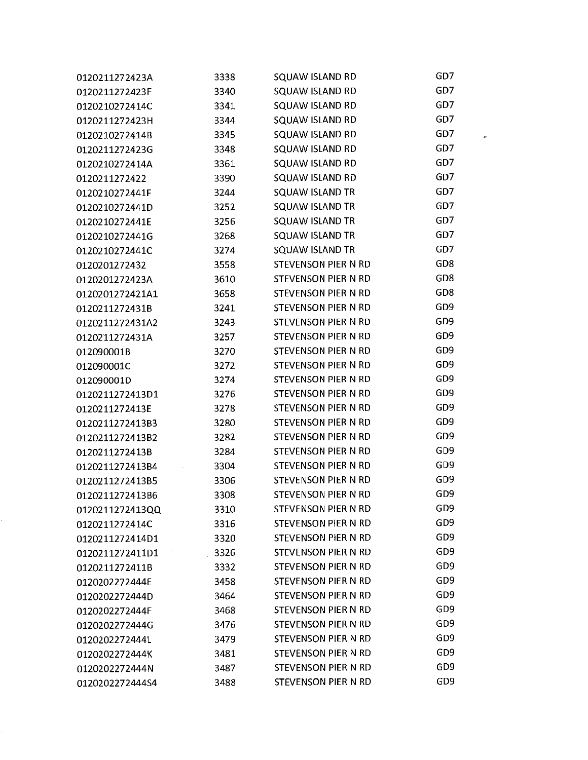| 0120211272423A  | 3338 | SQUAW ISLAND RD            | GD7             |
|-----------------|------|----------------------------|-----------------|
| 0120211272423F  | 3340 | SQUAW ISLAND RD            | GD7             |
| 0120210272414C  | 3341 | SQUAW ISLAND RD            | GD7             |
| 0120211272423H  | 3344 | <b>SQUAW ISLAND RD</b>     | GD7             |
| 0120210272414B  | 3345 | <b>SQUAW ISLAND RD</b>     | GD7             |
| 0120211272423G  | 3348 | SQUAW ISLAND RD            | GD7             |
| 0120210272414A  | 3361 | <b>SQUAW ISLAND RD</b>     | GD7             |
| 0120211272422   | 3390 | <b>SQUAW ISLAND RD</b>     | GD7             |
| 0120210272441F  | 3244 | <b>SQUAW ISLAND TR</b>     | GD7             |
| 0120210272441D  | 3252 | <b>SQUAW ISLAND TR</b>     | GD7             |
| 0120210272441E  | 3256 | SQUAW ISLAND TR            | GD7             |
| 0120210272441G  | 3268 | SQUAW ISLAND TR            | GD7             |
| 0120210272441C  | 3274 | <b>SQUAW ISLAND TR</b>     | GD7             |
| 0120201272432   | 3558 | <b>STEVENSON PIER N RD</b> | GD <sub>8</sub> |
| 0120201272423A  | 3610 | <b>STEVENSON PIER N RD</b> | GD <sub>8</sub> |
| 0120201272421A1 | 3658 | <b>STEVENSON PIER N RD</b> | GD <sub>8</sub> |
| 0120211272431B  | 3241 | STEVENSON PIER N RD        | GD <sub>9</sub> |
| 0120211272431A2 | 3243 | <b>STEVENSON PIER N RD</b> | GD <sub>9</sub> |
| 0120211272431A  | 3257 | <b>STEVENSON PIER N RD</b> | GD <sub>9</sub> |
| 012090001B      | 3270 | STEVENSON PIER N RD        | GD <sub>9</sub> |
| 012090001C      | 3272 | <b>STEVENSON PIER N RD</b> | GD <sub>9</sub> |
| 012090001D      | 3274 | <b>STEVENSON PIER N RD</b> | GD <sub>9</sub> |
| 0120211272413D1 | 3276 | <b>STEVENSON PIER N RD</b> | GD <sub>9</sub> |
| 0120211272413E  | 3278 | <b>STEVENSON PIER N RD</b> | GD <sub>9</sub> |
| 0120211272413B3 | 3280 | <b>STEVENSON PIER N RD</b> | GD <sub>9</sub> |
| 0120211272413B2 | 3282 | STEVENSON PIER N RD        | GD <sub>9</sub> |
| 0120211272413B  | 3284 | <b>STEVENSON PIER N RD</b> | GD <sub>9</sub> |
| 0120211272413B4 | 3304 | <b>STEVENSON PIER N RD</b> | GD <sub>9</sub> |
| 0120211272413B5 | 3306 | <b>STEVENSON PIER N RD</b> | GD <sub>9</sub> |
| 0120211272413B6 | 3308 | STEVENSON PIER N RD        | GD <sub>9</sub> |
| 0120211272413QQ | 3310 | <b>STEVENSON PIER N RD</b> | GD9             |
| 0120211272414C  | 3316 | STEVENSON PIER N RD        | GD <sub>9</sub> |
| 0120211272414D1 | 3320 | <b>STEVENSON PIER N RD</b> | GD <sub>9</sub> |
| 0120211272411D1 | 3326 | <b>STEVENSON PIER N RD</b> | GD <sub>9</sub> |
| 0120211272411B  | 3332 | <b>STEVENSON PIER N RD</b> | GD <sub>9</sub> |
| 0120202272444E  | 3458 | <b>STEVENSON PIER N RD</b> | GD <sub>9</sub> |
| 0120202272444D  | 3464 | <b>STEVENSON PIER N RD</b> | GD <sub>9</sub> |
| 0120202272444F  | 3468 | <b>STEVENSON PIER N RD</b> | GD <sub>9</sub> |
| 0120202272444G  | 3476 | <b>STEVENSON PIER N RD</b> | GD <sub>9</sub> |
| 0120202272444L  | 3479 | <b>STEVENSON PIER N RD</b> | GD <sub>9</sub> |
| 0120202272444K  | 3481 | <b>STEVENSON PIER N RD</b> | GD <sub>9</sub> |
| 0120202272444N  | 3487 | <b>STEVENSON PIER N RD</b> | GD <sub>9</sub> |
| 0120202272444S4 | 3488 | <b>STEVENSON PIER N RD</b> | GD <sub>9</sub> |

 $\hat{\mathcal{U}}$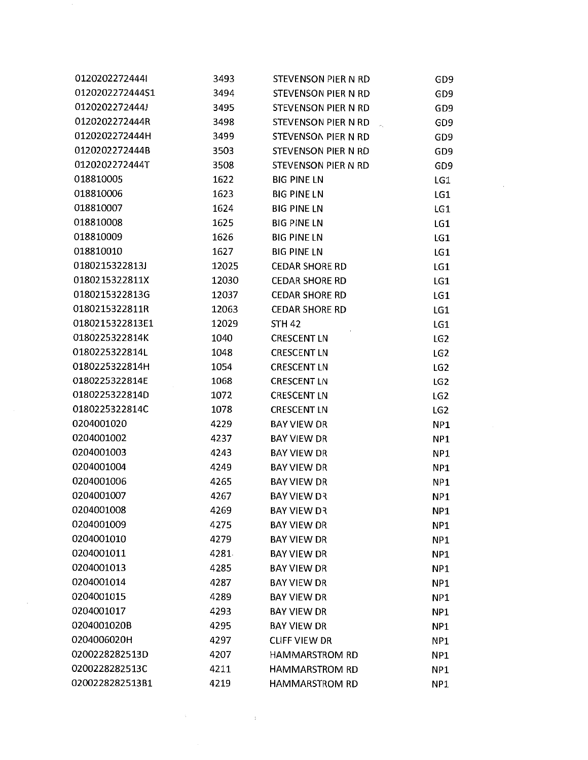| 01202022724441  | 3493  | STEVENSON PIER N RD   | GD <sub>9</sub> |  |
|-----------------|-------|-----------------------|-----------------|--|
| 0120202272444S1 | 3494  | STEVENSON PIER N RD   | GD <sub>9</sub> |  |
| 0120202272444J  | 3495  | STEVENSON PIER N RD   | GD <sub>9</sub> |  |
| 0120202272444R  | 3498  | STEVENSON PIER N RD   | GD <sub>9</sub> |  |
| 0120202272444H  | 3499  | STEVENSON PIER N RD   | GD <sub>9</sub> |  |
| 0120202272444B  | 3503  | STEVENSON PIER N RD   | GD <sub>9</sub> |  |
| 0120202272444T  | 3508  | STEVENSON PIER N RD   | GD <sub>9</sub> |  |
| 018810005       | 1622  | <b>BIG PINE LN</b>    | LG1             |  |
| 018810006       | 1623  | <b>BIG PINE LN</b>    | LG1             |  |
| 018810007       | 1624  | <b>BIG PINE LN</b>    | LG1             |  |
| 018810008       | 1625  | <b>BIG PINE LN</b>    | LG1             |  |
| 018810009       | 1626  | <b>BIG PINE LN</b>    | LG1             |  |
| 018810010       | 1627  | <b>BIG PINE LN</b>    | LG1             |  |
| 0180215322813J  | 12025 | <b>CEDAR SHORE RD</b> | LG1             |  |
| 0180215322811X  | 12030 | <b>CEDAR SHORE RD</b> | LG1             |  |
| 0180215322813G  | 12037 | <b>CEDAR SHORE RD</b> | LG1             |  |
| 0180215322811R  | 12063 | <b>CEDAR SHORE RD</b> | LG1             |  |
| 0180215322813E1 | 12029 | <b>STH 42</b>         | LG1             |  |
| 0180225322814K  | 1040  | <b>CRESCENT LN</b>    | LG <sub>2</sub> |  |
| 0180225322814L  | 1048  | <b>CRESCENT LN</b>    | LG <sub>2</sub> |  |
| 0180225322814H  | 1054  | <b>CRESCENT LN</b>    | LG <sub>2</sub> |  |
| 0180225322814E  | 1068  | <b>CRESCENT LN</b>    | LG <sub>2</sub> |  |
| 0180225322814D  | 1072  | <b>CRESCENT LN</b>    | LG <sub>2</sub> |  |
| 0180225322814C  | 1078  | <b>CRESCENT LN</b>    | LG <sub>2</sub> |  |
| 0204001020      | 4229  | BAY VIEW DR           | NP1             |  |
| 0204001002      | 4237  | <b>BAY VIEW DR</b>    | NP1             |  |
| 0204001003      | 4243  | <b>BAY VIEW DR</b>    | NP1             |  |
| 0204001004      | 4249  | <b>BAY VIEW DR</b>    | NP1             |  |
| 0204001006      | 4265  | <b>BAY VIEW DR</b>    | NP1             |  |
| 0204001007      | 4267  | <b>BAY VIEW DR</b>    | NP1             |  |
| 0204001008      | 4269  | <b>BAY VIEW DR</b>    | NP1             |  |
| 0204001009      | 4275  | <b>BAY VIEW DR</b>    | NP <sub>1</sub> |  |
| 0204001010      | 4279  | <b>BAY VIEW DR</b>    | NP <sub>1</sub> |  |
| 0204001011      | 4281  | <b>BAY VIEW DR</b>    | NP1             |  |
| 0204001013      | 4285  | <b>BAY VIEW DR</b>    | NP1             |  |
| 0204001014      | 4287  | <b>BAY VIEW DR</b>    | NP <sub>1</sub> |  |
| 0204001015      | 4289  | BAY VIEW DR           | NP1             |  |
| 0204001017      | 4293  | <b>BAY VIEW DR</b>    | NP <sub>1</sub> |  |
| 0204001020B     | 4295  | <b>BAY VIEW DR</b>    | NP <sub>1</sub> |  |
| 0204006020H     | 4297  | <b>CLIFF VIEW DR</b>  | NP <sub>1</sub> |  |
| 0200228282513D  | 4207  | HAMMARSTROM RD        | NP <sub>1</sub> |  |
| 0200228282513C  | 4211  | <b>HAMMARSTROM RD</b> | NP <sub>1</sub> |  |
| 0200228282513B1 | 4219  | <b>HAMMARSTROM RD</b> | NP1             |  |

 $\label{eq:2.1} \frac{1}{2} \int_{\mathbb{R}^3} \frac{1}{\sqrt{2\pi}} \int_{\mathbb{R}^3} \frac{1}{\sqrt{2\pi}} \int_{\mathbb{R}^3} \frac{1}{\sqrt{2\pi}} \int_{\mathbb{R}^3} \frac{1}{\sqrt{2\pi}} \int_{\mathbb{R}^3} \frac{1}{\sqrt{2\pi}} \int_{\mathbb{R}^3} \frac{1}{\sqrt{2\pi}} \int_{\mathbb{R}^3} \frac{1}{\sqrt{2\pi}} \int_{\mathbb{R}^3} \frac{1}{\sqrt{2\pi}} \int_{\mathbb{R}^3}$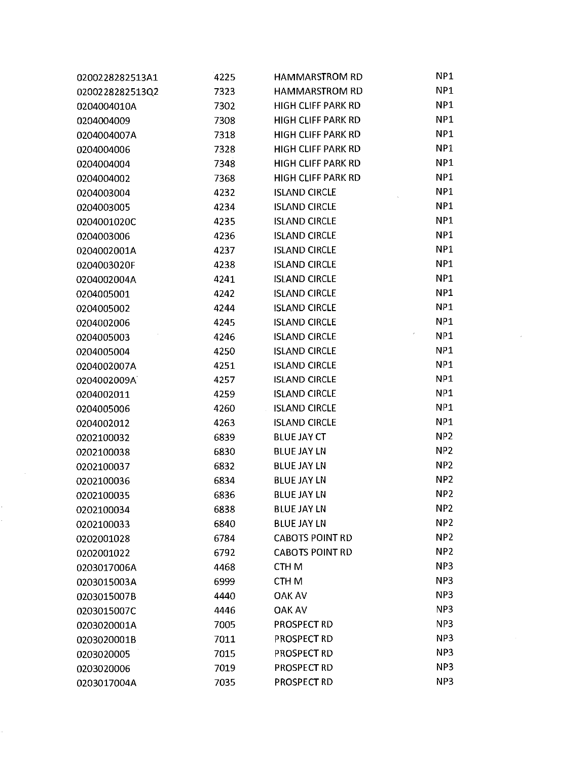| 0200228282513A1 | 4225 | <b>HAMMARSTROM RD</b>     | NP1             |
|-----------------|------|---------------------------|-----------------|
| 0200228282513Q2 | 7323 | <b>HAMMARSTROM RD</b>     | NP <sub>1</sub> |
| 0204004010A     | 7302 | <b>HIGH CLIFF PARK RD</b> | NP1             |
| 0204004009      | 7308 | <b>HIGH CLIFF PARK RD</b> | NP1             |
| 0204004007A     | 7318 | <b>HIGH CLIFF PARK RD</b> | NP1             |
| 0204004006      | 7328 | <b>HIGH CLIFF PARK RD</b> | NP1             |
| 0204004004      | 7348 | <b>HIGH CLIFF PARK RD</b> | NP1             |
| 0204004002      | 7368 | <b>HIGH CLIFF PARK RD</b> | NP1             |
| 0204003004      | 4232 | <b>ISLAND CIRCLE</b>      | NP1             |
| 0204003005      | 4234 | <b>ISLAND CIRCLE</b>      | NP1             |
| 0204001020C     | 4235 | <b>ISLAND CIRCLE</b>      | NP1             |
| 0204003006      | 4236 | <b>ISLAND CIRCLE</b>      | NP1             |
| 0204002001A     | 4237 | <b>ISLAND CIRCLE</b>      | NP <sub>1</sub> |
| 0204003020F     | 4238 | <b>ISLAND CIRCLE</b>      | NP <sub>1</sub> |
| 0204002004A     | 4241 | <b>ISLAND CIRCLE</b>      | NP1             |
| 0204005001      | 4242 | <b>ISLAND CIRCLE</b>      | NP1             |
| 0204005002      | 4244 | <b>ISLAND CIRCLE</b>      | NP1             |
| 0204002006      | 4245 | <b>ISLAND CIRCLE</b>      | NP1             |
| 0204005003      | 4246 | <b>ISLAND CIRCLE</b>      | NP1             |
| 0204005004      | 4250 | <b>ISLAND CIRCLE</b>      | NP1             |
| 0204002007A     | 4251 | <b>ISLAND CIRCLE</b>      | NP1             |
| 0204002009A     | 4257 | <b>ISLAND CIRCLE</b>      | NP1             |
| 0204002011      | 4259 | <b>ISLAND CIRCLE</b>      | NP1             |
| 0204005006      | 4260 | <b>ISLAND CIRCLE</b>      | NP1             |
| 0204002012      | 4263 | <b>ISLAND CIRCLE</b>      | NP <sub>1</sub> |
| 0202100032      | 6839 | <b>BLUE JAY CT</b>        | NP <sub>2</sub> |
| 0202100038      | 6830 | <b>BLUE JAY LN</b>        | NP <sub>2</sub> |
| 0202100037      | 6832 | <b>BLUE JAY LN</b>        | NP <sub>2</sub> |
| 0202100036      | 6834 | <b>BLUE JAY LN</b>        | NP <sub>2</sub> |
| 0202100035      | 6836 | <b>BLUE JAY LN</b>        | NP <sub>2</sub> |
| 0202100034      | 6838 | <b>BLUE JAY LN</b>        | NP <sub>2</sub> |
| 0202100033      | 6840 | <b>BLUE JAY LN</b>        | NP <sub>2</sub> |
| 0202001028      | 6784 | <b>CABOTS POINT RD</b>    | NP <sub>2</sub> |
| 0202001022      | 6792 | <b>CABOTS POINT RD</b>    | NP <sub>2</sub> |
| 0203017006A     | 4468 | CTH M                     | NP <sub>3</sub> |
| 0203015003A     | 6999 | CTH <sub>M</sub>          | NP <sub>3</sub> |
| 0203015007B     | 4440 | <b>OAK AV</b>             | NP <sub>3</sub> |
| 0203015007C     | 4446 | <b>OAK AV</b>             | NP3             |
| 0203020001A     | 7005 | <b>PROSPECT RD</b>        | NP <sub>3</sub> |
| 0203020001B     | 7011 | PROSPECT RD               | NP <sub>3</sub> |
| 0203020005      | 7015 | PROSPECT RD               | NP <sub>3</sub> |
| 0203020006      | 7019 | PROSPECT RD               | NP3             |
| 0203017004A     | 7035 | <b>PROSPECT RD</b>        | NP3             |

 $\mathcal{L}(\mathcal{A})$  and  $\mathcal{L}(\mathcal{A})$  .

y.

 $\label{eq:2.1} \frac{1}{\sqrt{2}}\left(\frac{1}{\sqrt{2}}\right)^{2} \left(\frac{1}{\sqrt{2}}\right)^{2} \left(\frac{1}{\sqrt{2}}\right)^{2} \left(\frac{1}{\sqrt{2}}\right)^{2} \left(\frac{1}{\sqrt{2}}\right)^{2} \left(\frac{1}{\sqrt{2}}\right)^{2} \left(\frac{1}{\sqrt{2}}\right)^{2} \left(\frac{1}{\sqrt{2}}\right)^{2} \left(\frac{1}{\sqrt{2}}\right)^{2} \left(\frac{1}{\sqrt{2}}\right)^{2} \left(\frac{1}{\sqrt{2}}\right)^{2} \left(\$ 

 $\label{eq:2.1} \frac{1}{\sqrt{2}}\left(\frac{1}{\sqrt{2}}\right)^{2} \left(\frac{1}{\sqrt{2}}\right)^{2} \left(\frac{1}{\sqrt{2}}\right)^{2} \left(\frac{1}{\sqrt{2}}\right)^{2} \left(\frac{1}{\sqrt{2}}\right)^{2} \left(\frac{1}{\sqrt{2}}\right)^{2} \left(\frac{1}{\sqrt{2}}\right)^{2} \left(\frac{1}{\sqrt{2}}\right)^{2} \left(\frac{1}{\sqrt{2}}\right)^{2} \left(\frac{1}{\sqrt{2}}\right)^{2} \left(\frac{1}{\sqrt{2}}\right)^{2} \left(\$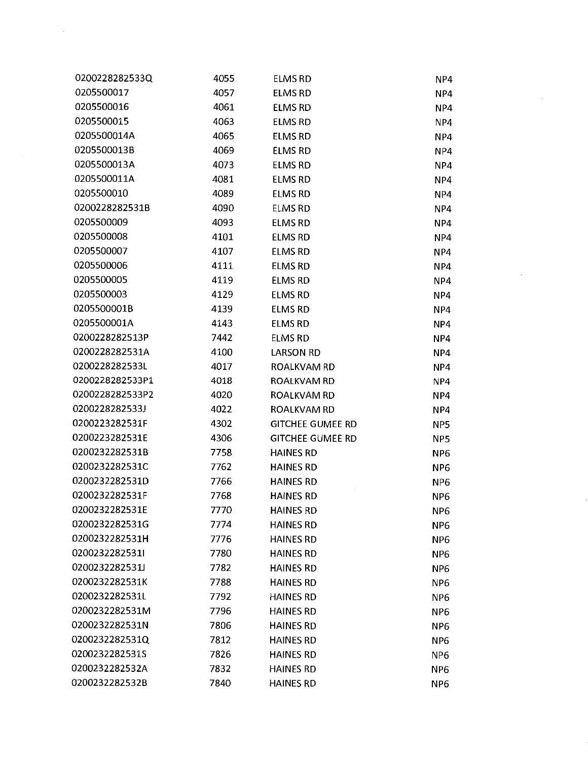| 0200228282533Q  | 4055 | ELMS RD                 | NP4             |
|-----------------|------|-------------------------|-----------------|
| 0205500017      | 4057 | <b>ELMS RD</b>          | NP4             |
| 0205500016      | 4061 | ELMS RD                 | NP4             |
| 0205500015      | 4063 | <b>ELMS RD</b>          | NP4             |
| 0205500014A     | 4065 | <b>ELMS RD</b>          | NP4             |
| 0205500013B     | 4069 | <b>ELMS RD</b>          | NP4             |
| 0205500013A     | 4073 | <b>ELMS RD</b>          | NP4             |
| 0205500011A     | 4081 | <b>ELMS RD</b>          | NP4             |
| 0205500010      | 4089 | <b>ELMS RD</b>          | NP4             |
| 0200228282531B  | 4090 | <b>ELMS RD</b>          | NP4             |
| 0205500009      | 4093 | <b>ELMS RD</b>          | NP4             |
| 0205500008      | 4101 | <b>ELMS RD</b>          | NP4             |
| 0205500007      | 4107 | <b>ELMS RD</b>          | NP4             |
| 0205500006      | 4111 | <b>ELMS RD</b>          | NP4             |
| 0205500005      | 4119 | <b>ELMS RD</b>          | NP4             |
| 0205500003      | 4129 | <b>ELMS RD</b>          | NP4             |
| 0205500001B     | 4139 | <b>ELMS RD</b>          | NP4             |
| 0205500001A     | 4143 | <b>ELMS RD</b>          | NP4             |
| 0200228282513P  | 7442 | <b>ELMS RD</b>          | NP4             |
| 0200228282531A  | 4100 | <b>LARSON RD</b>        | NP4             |
| 0200228282533L  | 4017 | ROALKVAM RD             | NP4             |
| 0200228282533P1 | 4018 | <b>ROALKVAM RD</b>      | NP4             |
| 0200228282533P2 | 4020 | ROALKVAM RD             | NP4             |
| 0200228282533J  | 4022 | ROALKVAM RD             | NP4             |
| 0200223282531F  | 4302 | <b>GITCHEE GUMEE RD</b> | NP5             |
| 0200223282531E  | 4306 | <b>GITCHEE GUMEE RD</b> | NP5             |
| 0200232282531B  | 7758 | <b>HAINES RD</b>        | NP <sub>6</sub> |
| 0200232282531C  | 7762 | <b>HAINES RD</b>        | NP <sub>6</sub> |
| 0200232282531D  | 7766 | <b>HAINES RD</b>        | NP <sub>6</sub> |
| 0200232282531F  | 7768 | <b>HAINES RD</b>        | NP <sub>6</sub> |
| 0200232282531E  | 7770 | <b>HAINES RD</b>        | NP <sub>6</sub> |
| 0200232282531G  | 7774 | <b>HAINES RD</b>        | NP <sub>6</sub> |
| 0200232282531H  | 7776 | <b>HAINES RD</b>        | NP <sub>6</sub> |
| 0200232282531I  | 7780 | <b>HAINES RD</b>        | NP <sub>6</sub> |
| 0200232282531J  | 7782 | <b>HAINES RD</b>        | NP <sub>6</sub> |
| 0200232282531K  | 7788 | <b>HAINES RD</b>        | NP <sub>6</sub> |
| 0200232282531L  | 7792 | <b>HAINES RD</b>        | NP <sub>6</sub> |
| 0200232282531M  | 7796 | <b>HAINES RD</b>        | NP <sub>6</sub> |
| 0200232282531N  | 7806 | <b>HAINES RD</b>        | NP <sub>6</sub> |
| 0200232282531Q  | 7812 | <b>HAINES RD</b>        | NP <sub>6</sub> |
| 0200232282531S  | 7826 | <b>HAINES RD</b>        | NP6             |
| 0200232282532A  | 7832 | <b>HAINES RD</b>        | NP <sub>6</sub> |
| 0200232282532B  | 7840 | <b>HAINES RD</b>        | NP <sub>6</sub> |

J.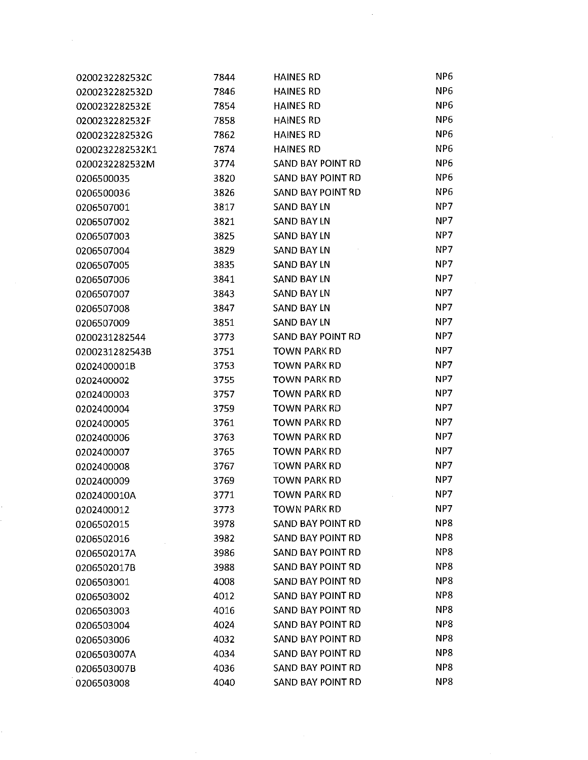| 0200232282532C  | 7844 | <b>HAINES RD</b>         | NP <sub>6</sub> |
|-----------------|------|--------------------------|-----------------|
| 0200232282532D  | 7846 | <b>HAINES RD</b>         | NP <sub>6</sub> |
| 0200232282532E  | 7854 | <b>HAINES RD</b>         | NP <sub>6</sub> |
| 0200232282532F  | 7858 | <b>HAINES RD</b>         | NP <sub>6</sub> |
| 0200232282532G  | 7862 | <b>HAINES RD</b>         | NP <sub>6</sub> |
| 0200232282532K1 | 7874 | <b>HAINES RD</b>         | NP <sub>6</sub> |
| 0200232282532M  | 3774 | SAND BAY POINT RD        | NP <sub>6</sub> |
| 0206500035      | 3820 | SAND BAY POINT RD        | NP6             |
| 0206500036      | 3826 | SAND BAY POINT RD        | NP <sub>6</sub> |
| 0206507001      | 3817 | <b>SAND BAY LN</b>       | NP7             |
| 0206507002      | 3821 | <b>SAND BAY LN</b>       | NP7             |
| 0206507003      | 3825 | <b>SAND BAY LN</b>       | NP7             |
| 0206507004      | 3829 | <b>SAND BAY LN</b>       | NP7             |
| 0206507005      | 3835 | <b>SAND BAY LN</b>       | NP7             |
| 0206507006      | 3841 | <b>SAND BAY LN</b>       | NP7             |
| 0206507007      | 3843 | <b>SAND BAY LN</b>       | NP7             |
| 0206507008      | 3847 | <b>SAND BAY LN</b>       | NP7             |
| 0206507009      | 3851 | <b>SAND BAY LN</b>       | NP7             |
| 0200231282544   | 3773 | <b>SAND BAY POINT RD</b> | NP7             |
| 0200231282543B  | 3751 | <b>TOWN PARK RD</b>      | NP7             |
| 0202400001B     | 3753 | <b>TOWN PARK RD</b>      | NP7             |
| 0202400002      | 3755 | <b>TOWN PARK RD</b>      | NP7             |
| 0202400003      | 3757 | <b>TOWN PARK RD</b>      | NP7             |
| 0202400004      | 3759 | <b>TOWN PARK RD</b>      | NP7             |
| 0202400005      | 3761 | <b>TOWN PARK RD</b>      | NP7             |
| 0202400006      | 3763 | <b>TOWN PARK RD</b>      | NP7             |
| 0202400007      | 3765 | <b>TOWN PARK RD</b>      | NP7             |
| 0202400008      | 3767 | <b>TOWN PARK RD</b>      | NP7             |
| 0202400009      | 3769 | <b>TOWN PARK RD</b>      | NP7             |
| 0202400010A     | 3771 | <b>TOWN PARK RD</b>      | NP7             |
| 0202400012      | 3773 | <b>TOWN PARK RD</b>      | NP7             |
| 0206502015      | 3978 | <b>SAND BAY POINT RD</b> | NP8             |
| 0206502016      | 3982 | SAND BAY POINT RD        | NP8             |
| 0206502017A     | 3986 | SAND BAY POINT RD        | NP <sub>8</sub> |
| 0206502017B     | 3988 | SAND BAY POINT RD        | NP8             |
| 0206503001      | 4008 | <b>SAND BAY POINT RD</b> | NP8             |
| 0206503002      | 4012 | <b>SAND BAY POINT RD</b> | NP8             |
| 0206503003      | 4016 | SAND BAY POINT RD        | NP <sub>8</sub> |
| 0206503004      | 4024 | SAND BAY POINT RD        | NP8             |
| 0206503006      | 4032 | SAND BAY POINT RD        | NP8             |
| 0206503007A     | 4034 | SAND BAY POINT RD        | NP8             |
| 0206503007B     | 4036 | SAND BAY POINT RD        | NP8             |
| 0206503008      | 4040 | SAND BAY POINT RD        | NP8             |

 $\label{eq:1} \frac{1}{\sqrt{2}}\left(\frac{1}{\sqrt{2}}\right)^{2} \left(\frac{1}{\sqrt{2}}\right)^{2}$ 

k.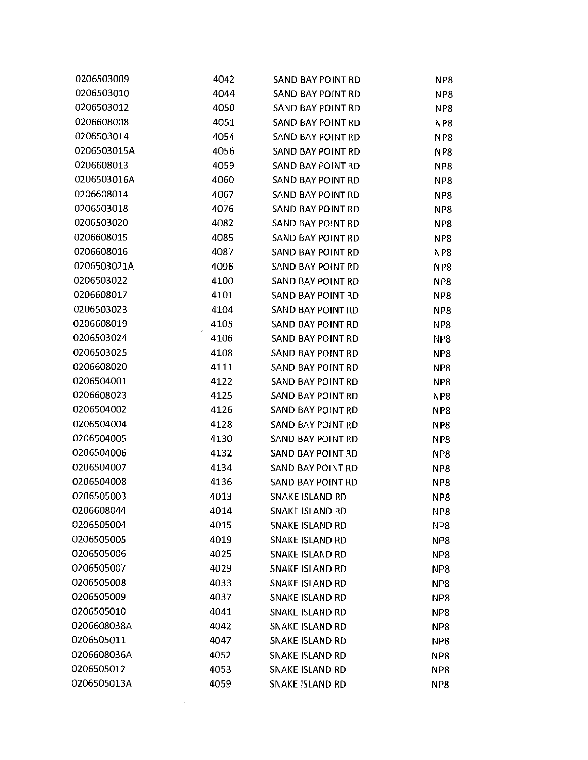| 0206503009  | 4042 | SAND BAY POINT RD        | NP8             |
|-------------|------|--------------------------|-----------------|
| 0206503010  | 4044 | SAND BAY POINT RD        | NP8             |
| 0206503012  | 4050 | SAND BAY POINT RD        | NP <sub>8</sub> |
| 0206608008  | 4051 | SAND BAY POINT RD        | NP8             |
| 0206503014  | 4054 | SAND BAY POINT RD        | NP8             |
| 0206503015A | 4056 | SAND BAY POINT RD        | NP8             |
| 0206608013  | 4059 | SAND BAY POINT RD        | NP8             |
| 0206503016A | 4060 | SAND BAY POINT RD        | NP <sub>8</sub> |
| 0206608014  | 4067 | SAND BAY POINT RD        | NP8             |
| 0206503018  | 4076 | SAND BAY POINT RD        | NP8             |
| 0206503020  | 4082 | SAND BAY POINT RD        | NP8             |
| 0206608015  | 4085 | SAND BAY POINT RD        | NP8             |
| 0206608016  | 4087 | SAND BAY POINT RD        | NP8             |
| 0206503021A | 4096 | SAND BAY POINT RD        | NP8             |
| 0206503022  | 4100 | SAND BAY POINT RD        | NP8             |
| 0206608017  | 4101 | SAND BAY POINT RD        | NP8             |
| 0206503023  | 4104 | <b>SAND BAY POINT RD</b> | NP8             |
| 0206608019  | 4105 | SAND BAY POINT RD        | NP8             |
| 0206503024  | 4106 | SAND BAY POINT RD        | NP8             |
| 0206503025  | 4108 | SAND BAY POINT RD        | NP8             |
| 0206608020  | 4111 | SAND BAY POINT RD        | NP8             |
| 0206504001  | 4122 | SAND BAY POINT RD        | NP8             |
| 0206608023  | 4125 | SAND BAY POINT RD        | NP8             |
| 0206504002  | 4126 | <b>SAND BAY POINT RD</b> | NP8             |
| 0206504004  | 4128 | SAND BAY POINT RD        | NP8             |
| 0206504005  | 4130 | SAND BAY POINT RD        | NP8             |
| 0206504006  | 4132 | SAND BAY POINT RD        | NP8             |
| 0206504007  | 4134 | SAND BAY POINT RD        | NP8             |
| 0206504008  | 4136 | <b>SAND BAY POINT RD</b> | NP8             |
| 0206505003  | 4013 | SNAKE ISLAND RD          | NP <sub>8</sub> |
| 0206608044  | 4014 | SNAKE ISLAND RD          | NP8             |
| 0206505004  | 4015 | <b>SNAKE ISLAND RD</b>   | NP8             |
| 0206505005  | 4019 | <b>SNAKE ISLAND RD</b>   | NP8             |
| 0206505006  | 4025 | <b>SNAKE ISLAND RD</b>   | NP8             |
| 0206505007  | 4029 | <b>SNAKE ISLAND RD</b>   | NP8             |
| 0206505008  | 4033 | SNAKE ISLAND RD          | NP8             |
| 0206505009  | 4037 | SNAKE ISLAND RD          | NP8             |
| 0206505010  | 4041 | <b>SNAKE ISLAND RD</b>   | NP8             |
| 0206608038A | 4042 | SNAKE ISLAND RD          | NP8             |
| 0206505011  | 4047 | SNAKE ISLAND RD          | NP8             |
| 0206608036A | 4052 | <b>SNAKE ISLAND RD</b>   | NP8             |
| 0206505012  | 4053 | SNAKE ISLAND RD          | NP8             |
| 0206505013A | 4059 | SNAKE ISLAND RD          | NP8             |

 $\mathcal{L}^{\text{max}}_{\text{max}}$  and  $\mathcal{L}^{\text{max}}_{\text{max}}$ 

 $\mathcal{L}^{\text{max}}_{\text{max}}$ 

 $\ddot{\phantom{a}}$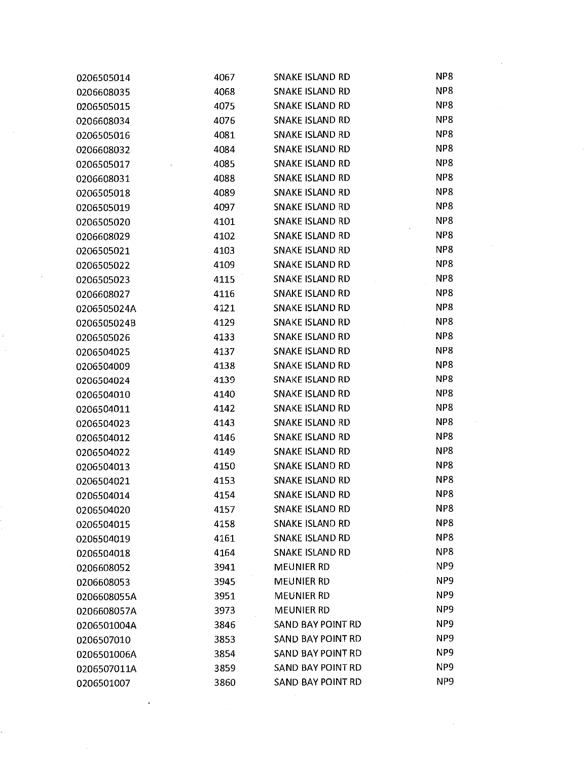| 0206505014  | 4067 | SNAKE ISLAND RD        | NP8             |  |
|-------------|------|------------------------|-----------------|--|
| 0206608035  | 4068 | SNAKE ISLAND RD        | NP8             |  |
| 0206505015  | 4075 | SNAKE ISLAND RD        | NP8             |  |
| 0206608034  | 4076 | <b>SNAKE ISLAND RD</b> | NP8             |  |
| 0206505016  | 4081 | <b>SNAKE ISLAND RD</b> | NP8             |  |
| 0206608032  | 4084 | <b>SNAKE ISLAND RD</b> | NP8             |  |
| 0206505017  | 4085 | <b>SNAKE ISLAND RD</b> | NP <sub>8</sub> |  |
| 0206608031  | 4088 | <b>SNAKE ISLAND RD</b> | NP8             |  |
| 0206505018  | 4089 | <b>SNAKE ISLAND RD</b> | NP8             |  |
| 0206505019  | 4097 | <b>SNAKE ISLAND RD</b> | NP <sub>8</sub> |  |
| 0206505020  | 4101 | SNAKE ISLAND RD        | NP8             |  |
| 0206608029  | 4102 | <b>SNAKE ISLAND RD</b> | NP8             |  |
| 0206505021  | 4103 | <b>SNAKE ISLAND RD</b> | NP <sub>8</sub> |  |
| 0206505022  | 4109 | <b>SNAKE ISLAND RD</b> | NP <sub>8</sub> |  |
| 0206505023  | 4115 | SNAKE ISLAND RD        | NP8             |  |
| 0206608027  | 4116 | <b>SNAKE ISLAND RD</b> | NP <sub>8</sub> |  |
| 0206505024A | 4121 | <b>SNAKE ISLAND RD</b> | NP8             |  |
| 0206505024B | 4129 | <b>SNAKE ISLAND RD</b> | NP8             |  |
| 0206505026  | 4133 | <b>SNAKE ISLAND RD</b> | NP8             |  |
| 0206504025  | 4137 | <b>SNAKE ISLAND RD</b> | NP <sub>8</sub> |  |
| 0206504009  | 4138 | <b>SNAKE ISLAND RD</b> | NP8             |  |
| 0206504024  | 4139 | <b>SNAKE ISLAND RD</b> | NP8             |  |
| 0206504010  | 4140 | <b>SNAKE ISLAND RD</b> | NP8             |  |
| 0206504011  | 4142 | <b>SNAKE ISLAND RD</b> | NP8             |  |
| 0206504023  | 4143 | <b>SNAKE ISLAND RD</b> | NP <sub>8</sub> |  |
| 0206504012  | 4146 | <b>SNAKE ISLAND RD</b> | NP <sub>8</sub> |  |
| 0206504022  | 4149 | <b>SNAKE ISLAND RD</b> | NP8             |  |
| 0206504013  | 4150 | <b>SNAKE ISLAND RD</b> | NP <sub>8</sub> |  |
| 0206504021  | 4153 | SNAKE ISLAND RD        | NP <sub>8</sub> |  |
| 0206504014  | 4154 | SNAKE ISLAND RD        | NP8             |  |
| 0206504020  | 4157 | SNAKE ISLAND RD        | NP8             |  |
| 0206504015  | 4158 | SNAKE ISLAND RD        | NP8             |  |
| 0206504019  | 4161 | SNAKE ISLAND RD        | NP8             |  |
| 0206504018  | 4164 | <b>SNAKE ISLAND RD</b> | NP8             |  |
| 0206608052  | 3941 | <b>MEUNIER RD</b>      | NP <sub>9</sub> |  |
| 0206608053  | 3945 | <b>MEUNIER RD</b>      | NP <sub>9</sub> |  |
| 0206608055A | 3951 | <b>MEUNIER RD</b>      | NP <sub>9</sub> |  |
| 0206608057A | 3973 | <b>MEUNIER RD</b>      | NP <sub>9</sub> |  |
| 0206501004A | 3846 | SAND BAY POINT RD      | NP <sub>9</sub> |  |
| 0206507010  | 3853 | SAND BAY POINT RD      | NP <sub>9</sub> |  |
| 0206501006A | 3854 | SAND BAY POINT RD      | NP <sub>9</sub> |  |
| 0206507011A | 3859 | SAND BAY POINT RD      | NP <sub>9</sub> |  |
| 0206501007  | 3860 | SAND BAY POINT RD      | NP <sub>9</sub> |  |

 $\frac{d\mathbf{r}^{(n)}}{d\mathbf{r}^{(n)}}$ 

 $\label{eq:2} \frac{1}{2} \int_{\mathbb{R}^3} \frac{1}{\sqrt{2}} \, \mathrm{d} \xi \, \mathrm{d} \xi \, \mathrm{d} \xi$ 

 $\hat{\beta}$ 

 $\mathcal{L}^{\text{max}}_{\text{max}}$  and  $\mathcal{L}^{\text{max}}_{\text{max}}$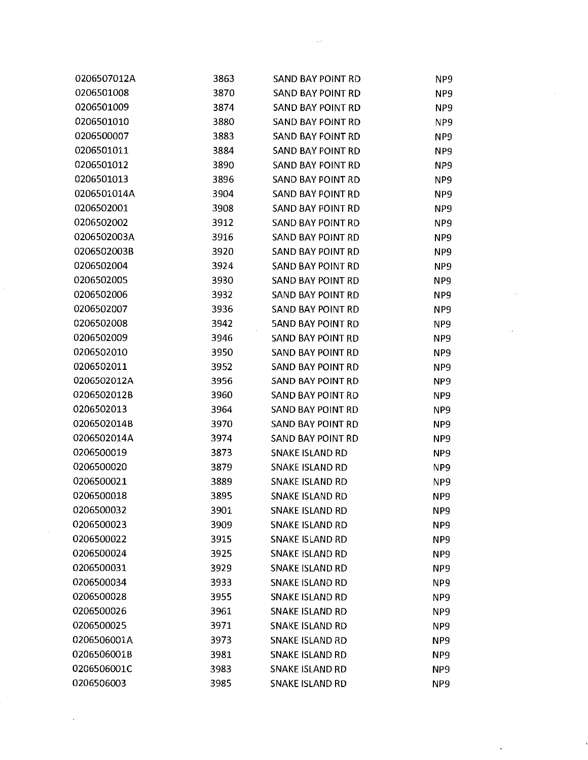| 0206507012A | 3863 | SAND BAY POINT RD        | NP9             |
|-------------|------|--------------------------|-----------------|
| 0206501008  | 3870 | SAND BAY POINT RD        | NP <sub>9</sub> |
| 0206501009  | 3874 | SAND BAY POINT RD        | NP <sub>9</sub> |
| 0206501010  | 3880 | SAND BAY POINT RD        | NP <sub>9</sub> |
| 0206500007  | 3883 | <b>SAND BAY POINT RD</b> | NP <sub>9</sub> |
| 0206501011  | 3884 | SAND BAY POINT RD        | NP <sub>9</sub> |
| 0206501012  | 3890 | <b>SAND BAY POINT RD</b> | NP <sub>9</sub> |
| 0206501013  | 3896 | SAND BAY POINT RD        | NP9             |
| 0206501014A | 3904 | SAND BAY POINT RD        | NP <sub>9</sub> |
| 0206502001  | 3908 | <b>SAND BAY POINT RD</b> | NP <sub>9</sub> |
| 0206502002  | 3912 | <b>SAND BAY POINT RD</b> | NP <sub>9</sub> |
| 0206502003A | 3916 | SAND BAY POINT RD        | NP <sub>9</sub> |
| 0206502003B | 3920 | <b>SAND BAY POINT RD</b> | NP <sub>9</sub> |
| 0206502004  | 3924 | SAND BAY POINT RD        | NP <sub>9</sub> |
| 0206502005  | 3930 | SAND BAY POINT RD        | NP9             |
| 0206502006  | 3932 | SAND BAY POINT RD        | NP <sub>9</sub> |
| 0206502007  | 3936 | <b>SAND BAY POINT RD</b> | NP <sub>9</sub> |
| 0206502008  | 3942 | <b>5AND BAY POINT RD</b> | NP9             |
| 0206502009  | 3946 | <b>SAND BAY POINT RD</b> | NP <sub>9</sub> |
| 0206502010  | 3950 | SAND BAY POINT RD        | NP <sub>9</sub> |
| 0206502011  | 3952 | <b>SAND BAY POINT RD</b> | NP9             |
| 0206502012A | 3956 | SAND BAY POINT RD        | NP <sub>9</sub> |
| 0206502012B | 3960 | <b>SAND BAY POINT RD</b> | NP9             |
| 0206502013  | 3964 | SAND BAY POINT RD        | NP9             |
| 0206502014B | 3970 | <b>SAND BAY POINT RD</b> | NP <sub>9</sub> |
| 0206502014A | 3974 | <b>SAND BAY POINT RD</b> | NP <sub>9</sub> |
| 0206500019  | 3873 | <b>SNAKE ISLAND RD</b>   | NP <sub>9</sub> |
| 0206500020  | 3879 | <b>SNAKE ISLAND RD</b>   | NP9             |
| 0206500021  | 3889 | <b>SNAKE ISLAND RD</b>   | NP9             |
| 0206500018  | 3895 | SNAKE ISLAND RD          | NP <sub>9</sub> |
| 0206500032  | 3901 | <b>SNAKE ISLAND RD</b>   | NP <sub>9</sub> |
| 0206500023  | 3909 | <b>SNAKE ISLAND RD</b>   | NP <sub>9</sub> |
| 0206500022  | 3915 | <b>SNAKE ISLAND RD</b>   | NP <sub>9</sub> |
| 0206500024  | 3925 | <b>SNAKE ISLAND RD</b>   | NP <sub>9</sub> |
| 0206500031  | 3929 | <b>SNAKE ISLAND RD</b>   | NP <sub>9</sub> |
| 0206500034  | 3933 | <b>SNAKE ISLAND RD</b>   | NP <sub>9</sub> |
| 0206500028  | 3955 | <b>SNAKE ISLAND RD</b>   | NP <sub>9</sub> |
| 0206500026  | 3961 | SNAKE ISLAND RD          | NP <sub>9</sub> |
| 0206500025  | 3971 | <b>SNAKE ISLAND RD</b>   | NP <sub>9</sub> |
| 0206506001A | 3973 | <b>SNAKE ISLAND RD</b>   | NP <sub>9</sub> |
| 0206506001B | 3981 | <b>SNAKE ISLAND RD</b>   | NP <sub>9</sub> |
| 0206506001C | 3983 | <b>SNAKE ISLAND RD</b>   | NP <sub>9</sub> |
| 0206506003  | 3985 | <b>SNAKE ISLAND RD</b>   | NP9             |

 $\label{eq:2} \mathcal{L}(\mathcal{L}) = \mathcal{L}(\mathcal{L}) \mathcal{L}(\mathcal{L}) = \mathcal{L}(\mathcal{L})$ 

 $\mathcal{L}(\mathcal{L})$  .

 $\mathcal{L}(\mathcal{A},\mathcal{B})$  and  $\mathcal{L}(\mathcal{A},\mathcal{B})$ 

 $\mathcal{I}$ 

 $\label{eq:2} \frac{1}{\sqrt{2}}\int_{\mathbb{R}^3} \frac{1}{\sqrt{2}}\,d\mu\,d\mu\,.$ 

 $\frac{1}{2}$ 

 $\sim$